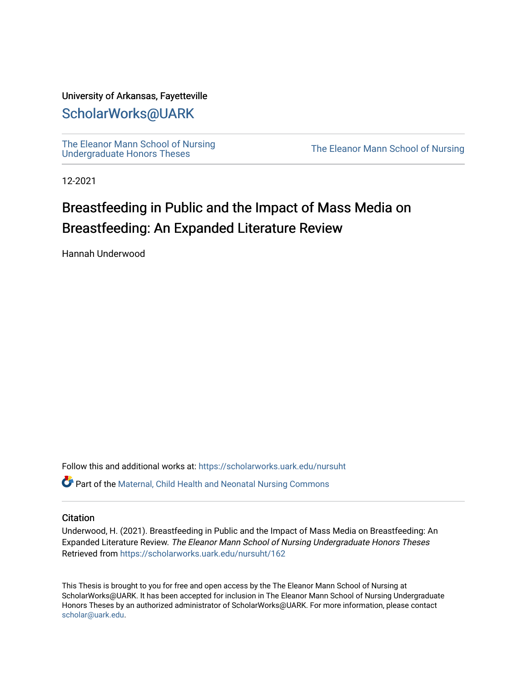# University of Arkansas, Fayetteville

# [ScholarWorks@UARK](https://scholarworks.uark.edu/)

[The Eleanor Mann School of Nursing](https://scholarworks.uark.edu/nursuht)<br>Undergraduate Honors Theses

The Eleanor Mann School of Nursing

12-2021

# Breastfeeding in Public and the Impact of Mass Media on Breastfeeding: An Expanded Literature Review

Hannah Underwood

Follow this and additional works at: [https://scholarworks.uark.edu/nursuht](https://scholarworks.uark.edu/nursuht?utm_source=scholarworks.uark.edu%2Fnursuht%2F162&utm_medium=PDF&utm_campaign=PDFCoverPages)

Part of the [Maternal, Child Health and Neonatal Nursing Commons](http://network.bepress.com/hgg/discipline/721?utm_source=scholarworks.uark.edu%2Fnursuht%2F162&utm_medium=PDF&utm_campaign=PDFCoverPages) 

# **Citation**

Underwood, H. (2021). Breastfeeding in Public and the Impact of Mass Media on Breastfeeding: An Expanded Literature Review. The Eleanor Mann School of Nursing Undergraduate Honors Theses Retrieved from [https://scholarworks.uark.edu/nursuht/162](https://scholarworks.uark.edu/nursuht/162?utm_source=scholarworks.uark.edu%2Fnursuht%2F162&utm_medium=PDF&utm_campaign=PDFCoverPages) 

This Thesis is brought to you for free and open access by the The Eleanor Mann School of Nursing at ScholarWorks@UARK. It has been accepted for inclusion in The Eleanor Mann School of Nursing Undergraduate Honors Theses by an authorized administrator of ScholarWorks@UARK. For more information, please contact [scholar@uark.edu](mailto:scholar@uark.edu).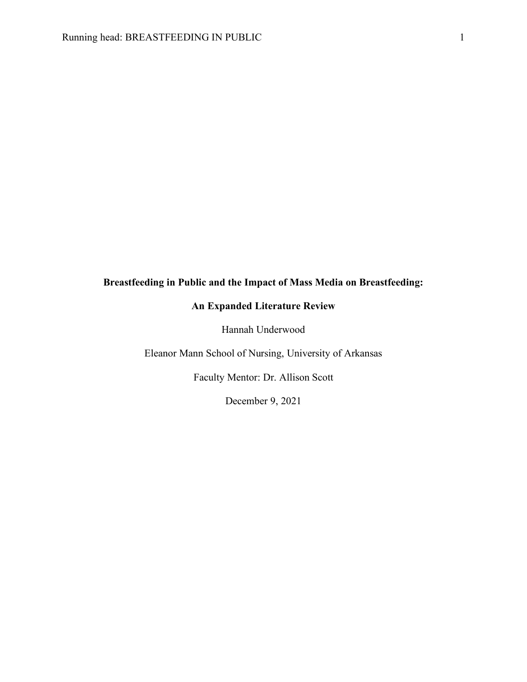# **Breastfeeding in Public and the Impact of Mass Media on Breastfeeding:**

# **An Expanded Literature Review**

Hannah Underwood

Eleanor Mann School of Nursing, University of Arkansas

Faculty Mentor: Dr. Allison Scott

December 9, 2021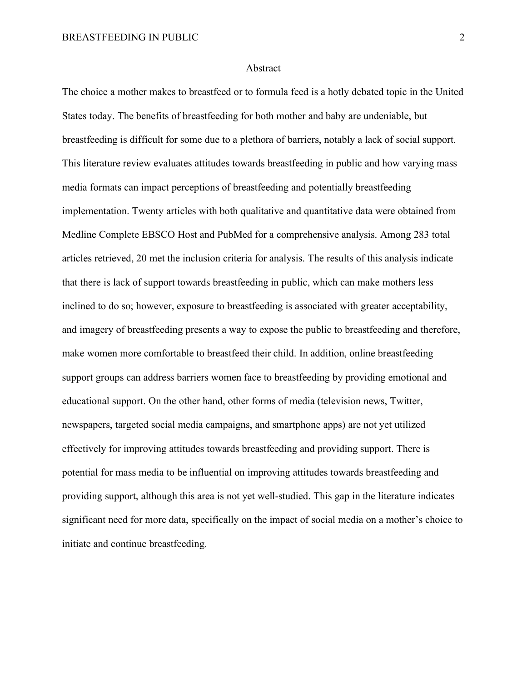### Abstract

The choice a mother makes to breastfeed or to formula feed is a hotly debated topic in the United States today. The benefits of breastfeeding for both mother and baby are undeniable, but breastfeeding is difficult for some due to a plethora of barriers, notably a lack of social support. This literature review evaluates attitudes towards breastfeeding in public and how varying mass media formats can impact perceptions of breastfeeding and potentially breastfeeding implementation. Twenty articles with both qualitative and quantitative data were obtained from Medline Complete EBSCO Host and PubMed for a comprehensive analysis. Among 283 total articles retrieved, 20 met the inclusion criteria for analysis. The results of this analysis indicate that there is lack of support towards breastfeeding in public, which can make mothers less inclined to do so; however, exposure to breastfeeding is associated with greater acceptability, and imagery of breastfeeding presents a way to expose the public to breastfeeding and therefore, make women more comfortable to breastfeed their child. In addition, online breastfeeding support groups can address barriers women face to breastfeeding by providing emotional and educational support. On the other hand, other forms of media (television news, Twitter, newspapers, targeted social media campaigns, and smartphone apps) are not yet utilized effectively for improving attitudes towards breastfeeding and providing support. There is potential for mass media to be influential on improving attitudes towards breastfeeding and providing support, although this area is not yet well-studied. This gap in the literature indicates significant need for more data, specifically on the impact of social media on a mother's choice to initiate and continue breastfeeding.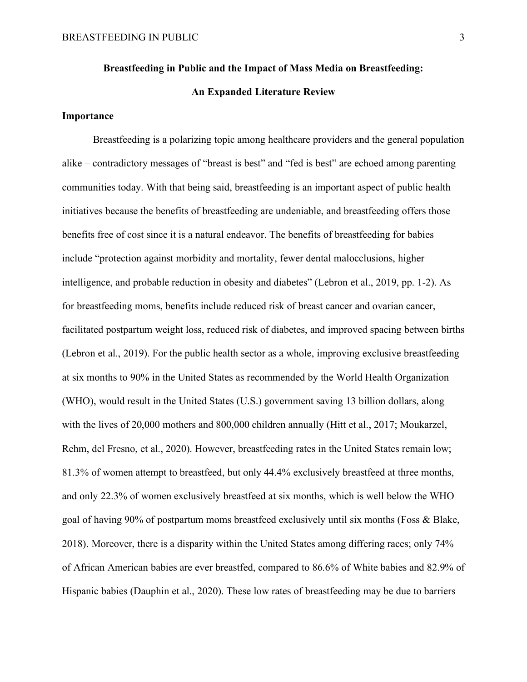# **Breastfeeding in Public and the Impact of Mass Media on Breastfeeding:**

# **An Expanded Literature Review**

# **Importance**

Breastfeeding is a polarizing topic among healthcare providers and the general population alike – contradictory messages of "breast is best" and "fed is best" are echoed among parenting communities today. With that being said, breastfeeding is an important aspect of public health initiatives because the benefits of breastfeeding are undeniable, and breastfeeding offers those benefits free of cost since it is a natural endeavor. The benefits of breastfeeding for babies include "protection against morbidity and mortality, fewer dental malocclusions, higher intelligence, and probable reduction in obesity and diabetes" (Lebron et al., 2019, pp. 1-2). As for breastfeeding moms, benefits include reduced risk of breast cancer and ovarian cancer, facilitated postpartum weight loss, reduced risk of diabetes, and improved spacing between births (Lebron et al., 2019). For the public health sector as a whole, improving exclusive breastfeeding at six months to 90% in the United States as recommended by the World Health Organization (WHO), would result in the United States (U.S.) government saving 13 billion dollars, along with the lives of 20,000 mothers and 800,000 children annually (Hitt et al., 2017; Moukarzel, Rehm, del Fresno, et al., 2020). However, breastfeeding rates in the United States remain low; 81.3% of women attempt to breastfeed, but only 44.4% exclusively breastfeed at three months, and only 22.3% of women exclusively breastfeed at six months, which is well below the WHO goal of having 90% of postpartum moms breastfeed exclusively until six months (Foss & Blake, 2018). Moreover, there is a disparity within the United States among differing races; only 74% of African American babies are ever breastfed, compared to 86.6% of White babies and 82.9% of Hispanic babies (Dauphin et al., 2020). These low rates of breastfeeding may be due to barriers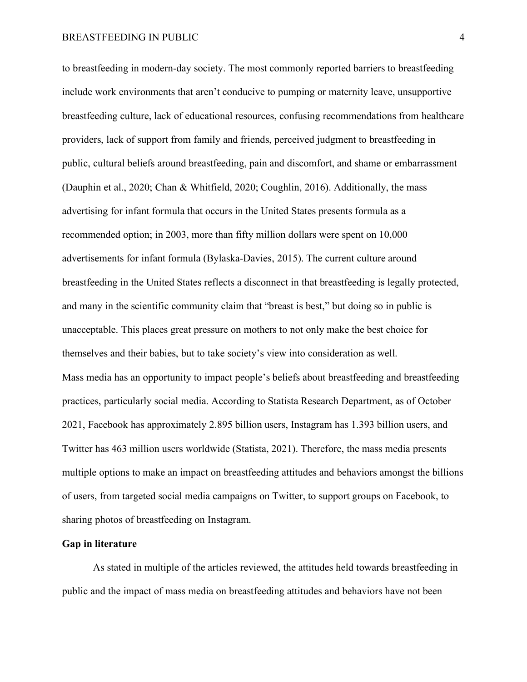to breastfeeding in modern-day society. The most commonly reported barriers to breastfeeding include work environments that aren't conducive to pumping or maternity leave, unsupportive breastfeeding culture, lack of educational resources, confusing recommendations from healthcare providers, lack of support from family and friends, perceived judgment to breastfeeding in public, cultural beliefs around breastfeeding, pain and discomfort, and shame or embarrassment (Dauphin et al., 2020; Chan & Whitfield, 2020; Coughlin, 2016). Additionally, the mass advertising for infant formula that occurs in the United States presents formula as a recommended option; in 2003, more than fifty million dollars were spent on 10,000 advertisements for infant formula (Bylaska-Davies, 2015). The current culture around breastfeeding in the United States reflects a disconnect in that breastfeeding is legally protected, and many in the scientific community claim that "breast is best," but doing so in public is unacceptable. This places great pressure on mothers to not only make the best choice for themselves and their babies, but to take society's view into consideration as well. Mass media has an opportunity to impact people's beliefs about breastfeeding and breastfeeding practices, particularly social media. According to Statista Research Department, as of October 2021, Facebook has approximately 2.895 billion users, Instagram has 1.393 billion users, and Twitter has 463 million users worldwide (Statista, 2021). Therefore, the mass media presents multiple options to make an impact on breastfeeding attitudes and behaviors amongst the billions of users, from targeted social media campaigns on Twitter, to support groups on Facebook, to sharing photos of breastfeeding on Instagram.

# **Gap in literature**

As stated in multiple of the articles reviewed, the attitudes held towards breastfeeding in public and the impact of mass media on breastfeeding attitudes and behaviors have not been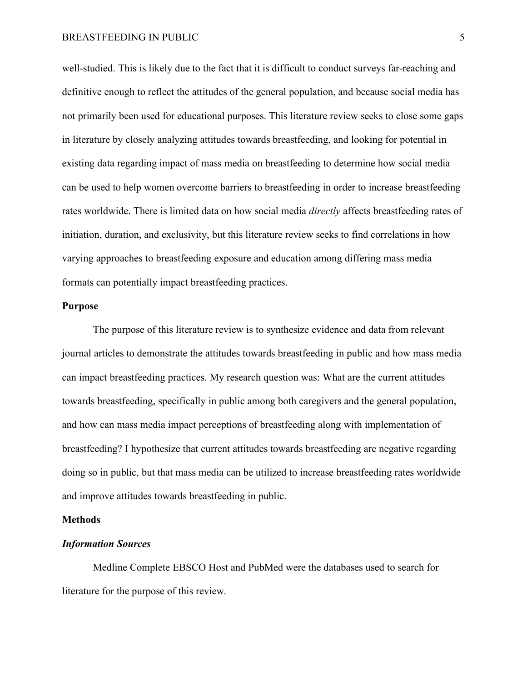well-studied. This is likely due to the fact that it is difficult to conduct surveys far-reaching and definitive enough to reflect the attitudes of the general population, and because social media has not primarily been used for educational purposes. This literature review seeks to close some gaps in literature by closely analyzing attitudes towards breastfeeding, and looking for potential in existing data regarding impact of mass media on breastfeeding to determine how social media can be used to help women overcome barriers to breastfeeding in order to increase breastfeeding rates worldwide. There is limited data on how social media *directly* affects breastfeeding rates of initiation, duration, and exclusivity, but this literature review seeks to find correlations in how varying approaches to breastfeeding exposure and education among differing mass media formats can potentially impact breastfeeding practices.

# **Purpose**

The purpose of this literature review is to synthesize evidence and data from relevant journal articles to demonstrate the attitudes towards breastfeeding in public and how mass media can impact breastfeeding practices. My research question was: What are the current attitudes towards breastfeeding, specifically in public among both caregivers and the general population, and how can mass media impact perceptions of breastfeeding along with implementation of breastfeeding? I hypothesize that current attitudes towards breastfeeding are negative regarding doing so in public, but that mass media can be utilized to increase breastfeeding rates worldwide and improve attitudes towards breastfeeding in public.

# **Methods**

# *Information Sources*

Medline Complete EBSCO Host and PubMed were the databases used to search for literature for the purpose of this review.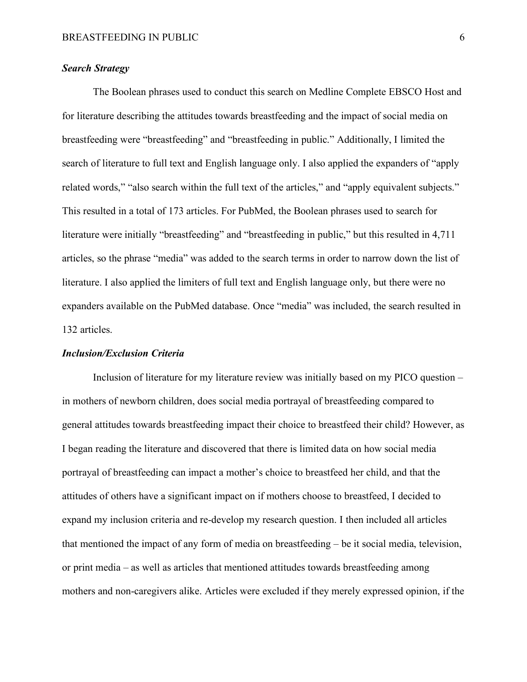# *Search Strategy*

The Boolean phrases used to conduct this search on Medline Complete EBSCO Host and for literature describing the attitudes towards breastfeeding and the impact of social media on breastfeeding were "breastfeeding" and "breastfeeding in public." Additionally, I limited the search of literature to full text and English language only. I also applied the expanders of "apply related words," "also search within the full text of the articles," and "apply equivalent subjects." This resulted in a total of 173 articles. For PubMed, the Boolean phrases used to search for literature were initially "breastfeeding" and "breastfeeding in public," but this resulted in 4,711 articles, so the phrase "media" was added to the search terms in order to narrow down the list of literature. I also applied the limiters of full text and English language only, but there were no expanders available on the PubMed database. Once "media" was included, the search resulted in 132 articles.

### *Inclusion/Exclusion Criteria*

Inclusion of literature for my literature review was initially based on my PICO question – in mothers of newborn children, does social media portrayal of breastfeeding compared to general attitudes towards breastfeeding impact their choice to breastfeed their child? However, as I began reading the literature and discovered that there is limited data on how social media portrayal of breastfeeding can impact a mother's choice to breastfeed her child, and that the attitudes of others have a significant impact on if mothers choose to breastfeed, I decided to expand my inclusion criteria and re-develop my research question. I then included all articles that mentioned the impact of any form of media on breastfeeding – be it social media, television, or print media – as well as articles that mentioned attitudes towards breastfeeding among mothers and non-caregivers alike. Articles were excluded if they merely expressed opinion, if the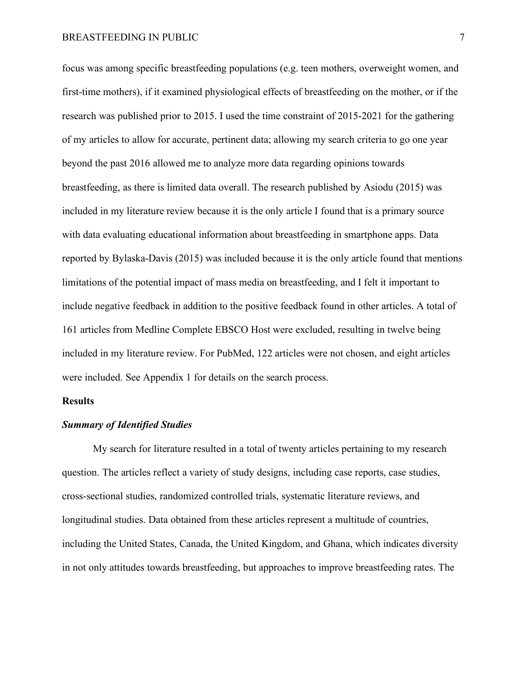focus was among specific breastfeeding populations (e.g. teen mothers, overweight women, and first-time mothers), if it examined physiological effects of breastfeeding on the mother, or if the research was published prior to 2015. I used the time constraint of 2015-2021 for the gathering of my articles to allow for accurate, pertinent data; allowing my search criteria to go one year beyond the past 2016 allowed me to analyze more data regarding opinions towards breastfeeding, as there is limited data overall. The research published by Asiodu (2015) was included in my literature review because it is the only article I found that is a primary source with data evaluating educational information about breastfeeding in smartphone apps. Data reported by Bylaska-Davis (2015) was included because it is the only article found that mentions limitations of the potential impact of mass media on breastfeeding, and I felt it important to include negative feedback in addition to the positive feedback found in other articles. A total of 161 articles from Medline Complete EBSCO Host were excluded, resulting in twelve being included in my literature review. For PubMed, 122 articles were not chosen, and eight articles were included. See Appendix 1 for details on the search process.

# **Results**

# *Summary of Identified Studies*

My search for literature resulted in a total of twenty articles pertaining to my research question. The articles reflect a variety of study designs, including case reports, case studies, cross-sectional studies, randomized controlled trials, systematic literature reviews, and longitudinal studies. Data obtained from these articles represent a multitude of countries, including the United States, Canada, the United Kingdom, and Ghana, which indicates diversity in not only attitudes towards breastfeeding, but approaches to improve breastfeeding rates. The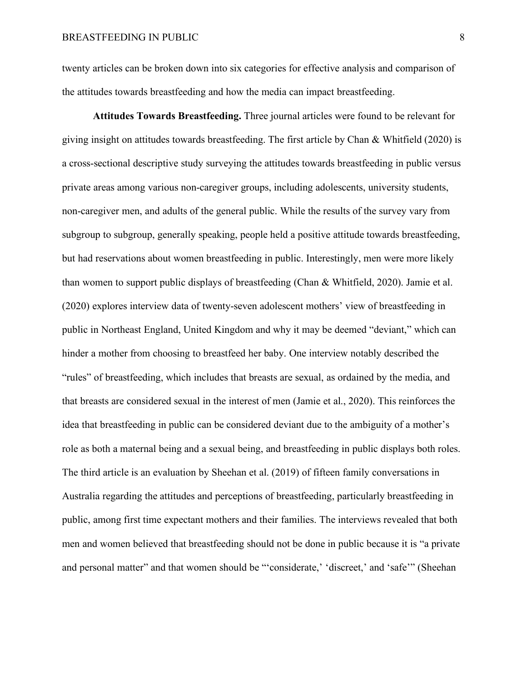twenty articles can be broken down into six categories for effective analysis and comparison of the attitudes towards breastfeeding and how the media can impact breastfeeding.

**Attitudes Towards Breastfeeding.** Three journal articles were found to be relevant for giving insight on attitudes towards breastfeeding. The first article by Chan & Whitfield (2020) is a cross-sectional descriptive study surveying the attitudes towards breastfeeding in public versus private areas among various non-caregiver groups, including adolescents, university students, non-caregiver men, and adults of the general public. While the results of the survey vary from subgroup to subgroup, generally speaking, people held a positive attitude towards breastfeeding, but had reservations about women breastfeeding in public. Interestingly, men were more likely than women to support public displays of breastfeeding (Chan & Whitfield, 2020). Jamie et al. (2020) explores interview data of twenty-seven adolescent mothers' view of breastfeeding in public in Northeast England, United Kingdom and why it may be deemed "deviant," which can hinder a mother from choosing to breastfeed her baby. One interview notably described the "rules" of breastfeeding, which includes that breasts are sexual, as ordained by the media, and that breasts are considered sexual in the interest of men (Jamie et al., 2020). This reinforces the idea that breastfeeding in public can be considered deviant due to the ambiguity of a mother's role as both a maternal being and a sexual being, and breastfeeding in public displays both roles. The third article is an evaluation by Sheehan et al. (2019) of fifteen family conversations in Australia regarding the attitudes and perceptions of breastfeeding, particularly breastfeeding in public, among first time expectant mothers and their families. The interviews revealed that both men and women believed that breastfeeding should not be done in public because it is "a private and personal matter" and that women should be "'considerate,' 'discreet,' and 'safe'" (Sheehan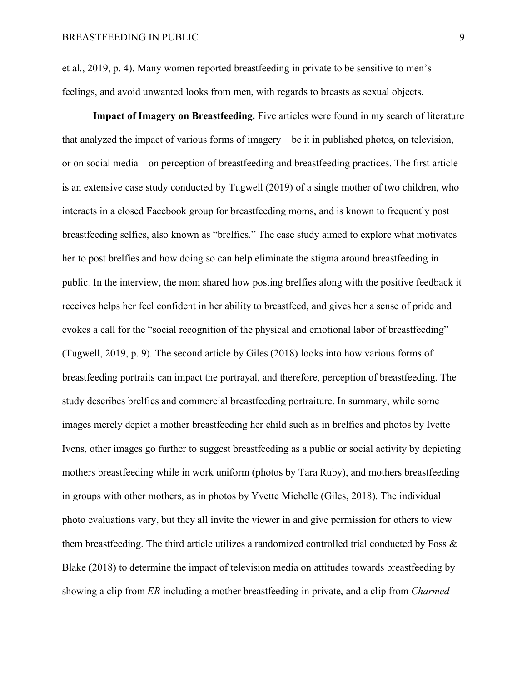et al., 2019, p. 4). Many women reported breastfeeding in private to be sensitive to men's feelings, and avoid unwanted looks from men, with regards to breasts as sexual objects.

**Impact of Imagery on Breastfeeding.** Five articles were found in my search of literature that analyzed the impact of various forms of imagery – be it in published photos, on television, or on social media – on perception of breastfeeding and breastfeeding practices. The first article is an extensive case study conducted by Tugwell (2019) of a single mother of two children, who interacts in a closed Facebook group for breastfeeding moms, and is known to frequently post breastfeeding selfies, also known as "brelfies." The case study aimed to explore what motivates her to post brelfies and how doing so can help eliminate the stigma around breastfeeding in public. In the interview, the mom shared how posting brelfies along with the positive feedback it receives helps her feel confident in her ability to breastfeed, and gives her a sense of pride and evokes a call for the "social recognition of the physical and emotional labor of breastfeeding" (Tugwell, 2019, p. 9). The second article by Giles (2018) looks into how various forms of breastfeeding portraits can impact the portrayal, and therefore, perception of breastfeeding. The study describes brelfies and commercial breastfeeding portraiture. In summary, while some images merely depict a mother breastfeeding her child such as in brelfies and photos by Ivette Ivens, other images go further to suggest breastfeeding as a public or social activity by depicting mothers breastfeeding while in work uniform (photos by Tara Ruby), and mothers breastfeeding in groups with other mothers, as in photos by Yvette Michelle (Giles, 2018). The individual photo evaluations vary, but they all invite the viewer in and give permission for others to view them breastfeeding. The third article utilizes a randomized controlled trial conducted by Foss & Blake (2018) to determine the impact of television media on attitudes towards breastfeeding by showing a clip from *ER* including a mother breastfeeding in private, and a clip from *Charmed*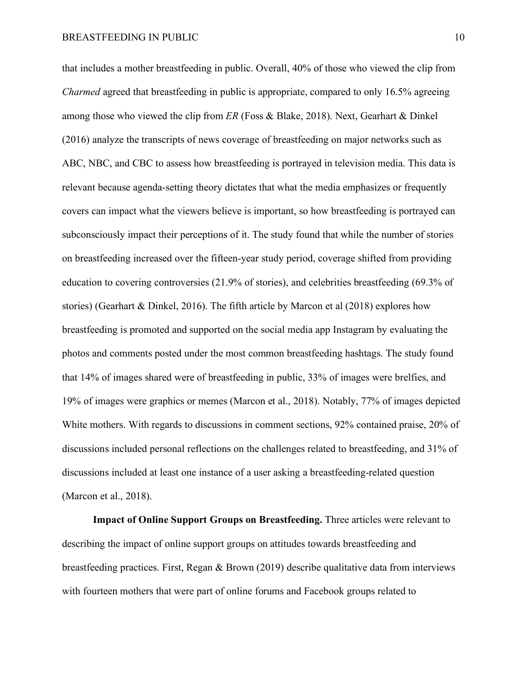that includes a mother breastfeeding in public. Overall, 40% of those who viewed the clip from *Charmed* agreed that breastfeeding in public is appropriate, compared to only 16.5% agreeing among those who viewed the clip from *ER* (Foss & Blake, 2018). Next, Gearhart & Dinkel (2016) analyze the transcripts of news coverage of breastfeeding on major networks such as ABC, NBC, and CBC to assess how breastfeeding is portrayed in television media. This data is relevant because agenda-setting theory dictates that what the media emphasizes or frequently covers can impact what the viewers believe is important, so how breastfeeding is portrayed can subconsciously impact their perceptions of it. The study found that while the number of stories on breastfeeding increased over the fifteen-year study period, coverage shifted from providing education to covering controversies (21.9% of stories), and celebrities breastfeeding (69.3% of stories) (Gearhart & Dinkel, 2016). The fifth article by Marcon et al (2018) explores how breastfeeding is promoted and supported on the social media app Instagram by evaluating the photos and comments posted under the most common breastfeeding hashtags. The study found that 14% of images shared were of breastfeeding in public, 33% of images were brelfies, and 19% of images were graphics or memes (Marcon et al., 2018). Notably, 77% of images depicted White mothers. With regards to discussions in comment sections, 92% contained praise, 20% of discussions included personal reflections on the challenges related to breastfeeding, and 31% of discussions included at least one instance of a user asking a breastfeeding-related question (Marcon et al., 2018).

**Impact of Online Support Groups on Breastfeeding.** Three articles were relevant to describing the impact of online support groups on attitudes towards breastfeeding and breastfeeding practices. First, Regan & Brown (2019) describe qualitative data from interviews with fourteen mothers that were part of online forums and Facebook groups related to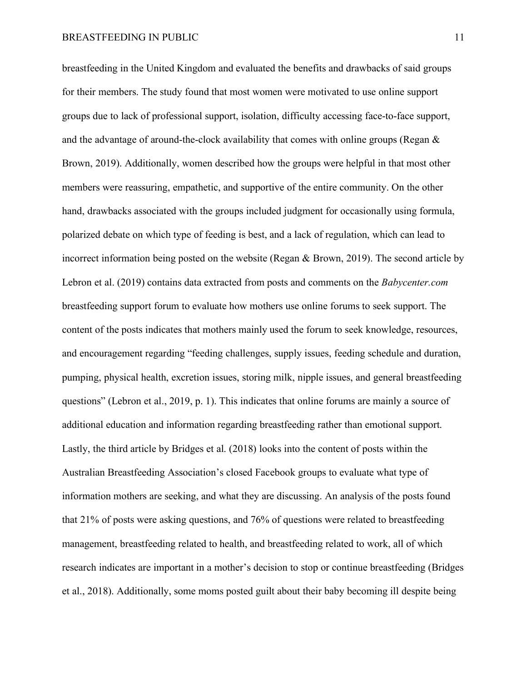breastfeeding in the United Kingdom and evaluated the benefits and drawbacks of said groups for their members. The study found that most women were motivated to use online support groups due to lack of professional support, isolation, difficulty accessing face-to-face support, and the advantage of around-the-clock availability that comes with online groups (Regan & Brown, 2019). Additionally, women described how the groups were helpful in that most other members were reassuring, empathetic, and supportive of the entire community. On the other hand, drawbacks associated with the groups included judgment for occasionally using formula, polarized debate on which type of feeding is best, and a lack of regulation, which can lead to incorrect information being posted on the website (Regan & Brown, 2019). The second article by Lebron et al. (2019) contains data extracted from posts and comments on the *Babycenter.com*  breastfeeding support forum to evaluate how mothers use online forums to seek support. The content of the posts indicates that mothers mainly used the forum to seek knowledge, resources, and encouragement regarding "feeding challenges, supply issues, feeding schedule and duration, pumping, physical health, excretion issues, storing milk, nipple issues, and general breastfeeding questions" (Lebron et al., 2019, p. 1). This indicates that online forums are mainly a source of additional education and information regarding breastfeeding rather than emotional support. Lastly, the third article by Bridges et al. (2018) looks into the content of posts within the Australian Breastfeeding Association's closed Facebook groups to evaluate what type of information mothers are seeking, and what they are discussing. An analysis of the posts found that 21% of posts were asking questions, and 76% of questions were related to breastfeeding management, breastfeeding related to health, and breastfeeding related to work, all of which research indicates are important in a mother's decision to stop or continue breastfeeding (Bridges et al., 2018). Additionally, some moms posted guilt about their baby becoming ill despite being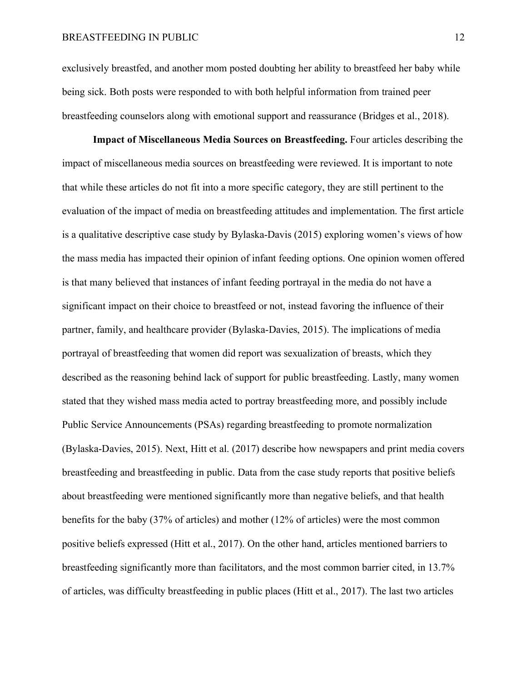exclusively breastfed, and another mom posted doubting her ability to breastfeed her baby while being sick. Both posts were responded to with both helpful information from trained peer breastfeeding counselors along with emotional support and reassurance (Bridges et al., 2018).

**Impact of Miscellaneous Media Sources on Breastfeeding.** Four articles describing the impact of miscellaneous media sources on breastfeeding were reviewed. It is important to note that while these articles do not fit into a more specific category, they are still pertinent to the evaluation of the impact of media on breastfeeding attitudes and implementation. The first article is a qualitative descriptive case study by Bylaska-Davis (2015) exploring women's views of how the mass media has impacted their opinion of infant feeding options. One opinion women offered is that many believed that instances of infant feeding portrayal in the media do not have a significant impact on their choice to breastfeed or not, instead favoring the influence of their partner, family, and healthcare provider (Bylaska-Davies, 2015). The implications of media portrayal of breastfeeding that women did report was sexualization of breasts, which they described as the reasoning behind lack of support for public breastfeeding. Lastly, many women stated that they wished mass media acted to portray breastfeeding more, and possibly include Public Service Announcements (PSAs) regarding breastfeeding to promote normalization (Bylaska-Davies, 2015). Next, Hitt et al. (2017) describe how newspapers and print media covers breastfeeding and breastfeeding in public. Data from the case study reports that positive beliefs about breastfeeding were mentioned significantly more than negative beliefs, and that health benefits for the baby (37% of articles) and mother (12% of articles) were the most common positive beliefs expressed (Hitt et al., 2017). On the other hand, articles mentioned barriers to breastfeeding significantly more than facilitators, and the most common barrier cited, in 13.7% of articles, was difficulty breastfeeding in public places (Hitt et al., 2017). The last two articles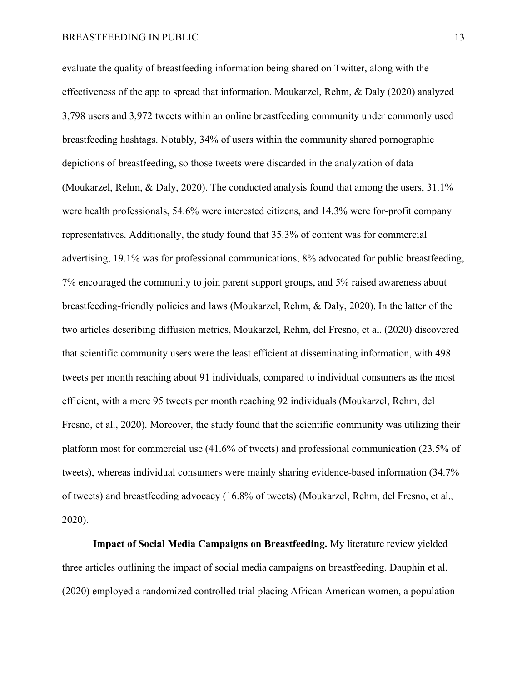evaluate the quality of breastfeeding information being shared on Twitter, along with the effectiveness of the app to spread that information. Moukarzel, Rehm, & Daly (2020) analyzed 3,798 users and 3,972 tweets within an online breastfeeding community under commonly used breastfeeding hashtags. Notably, 34% of users within the community shared pornographic depictions of breastfeeding, so those tweets were discarded in the analyzation of data (Moukarzel, Rehm, & Daly, 2020). The conducted analysis found that among the users, 31.1% were health professionals, 54.6% were interested citizens, and 14.3% were for-profit company representatives. Additionally, the study found that 35.3% of content was for commercial advertising, 19.1% was for professional communications, 8% advocated for public breastfeeding, 7% encouraged the community to join parent support groups, and 5% raised awareness about breastfeeding-friendly policies and laws (Moukarzel, Rehm, & Daly, 2020). In the latter of the two articles describing diffusion metrics, Moukarzel, Rehm, del Fresno, et al. (2020) discovered that scientific community users were the least efficient at disseminating information, with 498 tweets per month reaching about 91 individuals, compared to individual consumers as the most efficient, with a mere 95 tweets per month reaching 92 individuals (Moukarzel, Rehm, del Fresno, et al., 2020). Moreover, the study found that the scientific community was utilizing their platform most for commercial use (41.6% of tweets) and professional communication (23.5% of tweets), whereas individual consumers were mainly sharing evidence-based information (34.7% of tweets) and breastfeeding advocacy (16.8% of tweets) (Moukarzel, Rehm, del Fresno, et al., 2020).

**Impact of Social Media Campaigns on Breastfeeding.** My literature review yielded three articles outlining the impact of social media campaigns on breastfeeding. Dauphin et al. (2020) employed a randomized controlled trial placing African American women, a population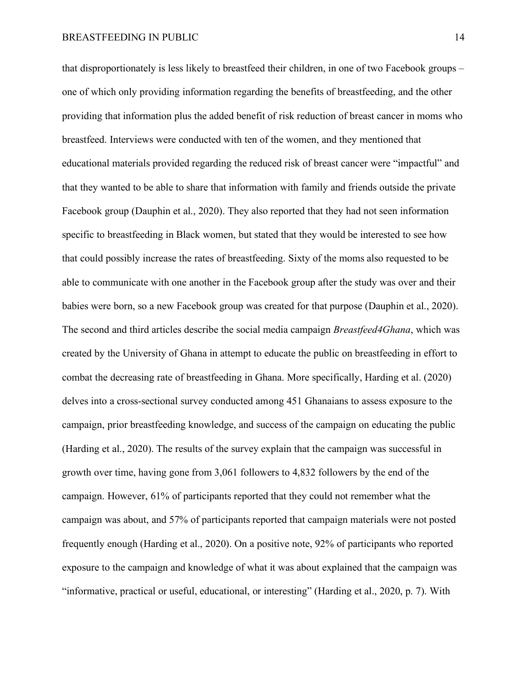that disproportionately is less likely to breastfeed their children, in one of two Facebook groups – one of which only providing information regarding the benefits of breastfeeding, and the other providing that information plus the added benefit of risk reduction of breast cancer in moms who breastfeed. Interviews were conducted with ten of the women, and they mentioned that educational materials provided regarding the reduced risk of breast cancer were "impactful" and that they wanted to be able to share that information with family and friends outside the private Facebook group (Dauphin et al., 2020). They also reported that they had not seen information specific to breastfeeding in Black women, but stated that they would be interested to see how that could possibly increase the rates of breastfeeding. Sixty of the moms also requested to be able to communicate with one another in the Facebook group after the study was over and their babies were born, so a new Facebook group was created for that purpose (Dauphin et al., 2020). The second and third articles describe the social media campaign *Breastfeed4Ghana*, which was created by the University of Ghana in attempt to educate the public on breastfeeding in effort to combat the decreasing rate of breastfeeding in Ghana. More specifically, Harding et al. (2020) delves into a cross-sectional survey conducted among 451 Ghanaians to assess exposure to the campaign, prior breastfeeding knowledge, and success of the campaign on educating the public (Harding et al., 2020). The results of the survey explain that the campaign was successful in growth over time, having gone from 3,061 followers to 4,832 followers by the end of the campaign. However, 61% of participants reported that they could not remember what the campaign was about, and 57% of participants reported that campaign materials were not posted frequently enough (Harding et al., 2020). On a positive note, 92% of participants who reported exposure to the campaign and knowledge of what it was about explained that the campaign was "informative, practical or useful, educational, or interesting" (Harding et al., 2020, p. 7). With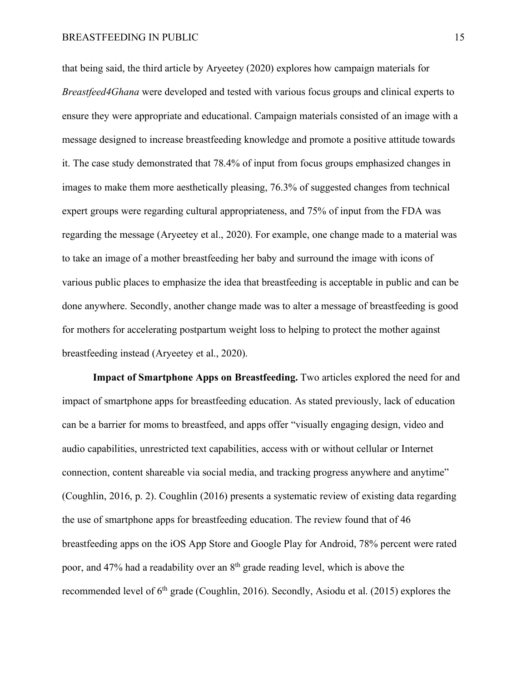that being said, the third article by Aryeetey (2020) explores how campaign materials for *Breastfeed4Ghana* were developed and tested with various focus groups and clinical experts to ensure they were appropriate and educational. Campaign materials consisted of an image with a message designed to increase breastfeeding knowledge and promote a positive attitude towards it. The case study demonstrated that 78.4% of input from focus groups emphasized changes in images to make them more aesthetically pleasing, 76.3% of suggested changes from technical expert groups were regarding cultural appropriateness, and 75% of input from the FDA was regarding the message (Aryeetey et al., 2020). For example, one change made to a material was to take an image of a mother breastfeeding her baby and surround the image with icons of various public places to emphasize the idea that breastfeeding is acceptable in public and can be done anywhere. Secondly, another change made was to alter a message of breastfeeding is good for mothers for accelerating postpartum weight loss to helping to protect the mother against breastfeeding instead (Aryeetey et al., 2020).

**Impact of Smartphone Apps on Breastfeeding.** Two articles explored the need for and impact of smartphone apps for breastfeeding education. As stated previously, lack of education can be a barrier for moms to breastfeed, and apps offer "visually engaging design, video and audio capabilities, unrestricted text capabilities, access with or without cellular or Internet connection, content shareable via social media, and tracking progress anywhere and anytime" (Coughlin, 2016, p. 2). Coughlin (2016) presents a systematic review of existing data regarding the use of smartphone apps for breastfeeding education. The review found that of 46 breastfeeding apps on the iOS App Store and Google Play for Android, 78% percent were rated poor, and 47% had a readability over an 8th grade reading level, which is above the recommended level of 6<sup>th</sup> grade (Coughlin, 2016). Secondly, Asiodu et al. (2015) explores the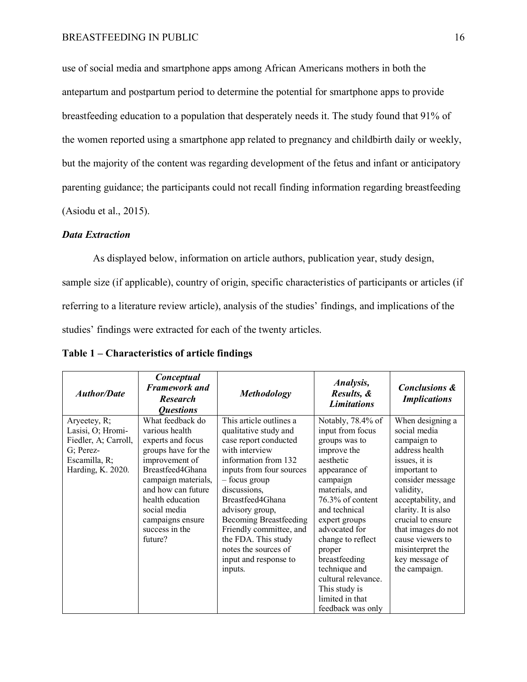use of social media and smartphone apps among African Americans mothers in both the antepartum and postpartum period to determine the potential for smartphone apps to provide breastfeeding education to a population that desperately needs it. The study found that 91% of the women reported using a smartphone app related to pregnancy and childbirth daily or weekly, but the majority of the content was regarding development of the fetus and infant or anticipatory parenting guidance; the participants could not recall finding information regarding breastfeeding (Asiodu et al., 2015).

# *Data Extraction*

As displayed below, information on article authors, publication year, study design, sample size (if applicable), country of origin, specific characteristics of participants or articles (if referring to a literature review article), analysis of the studies' findings, and implications of the studies' findings were extracted for each of the twenty articles.

| <b>Author/Date</b>   | Conceptual<br><b>Framework and</b><br><b>Research</b><br><i><b>Questions</b></i> | <b>Methodology</b>            | Analysis,<br>Results, &<br><b>Limitations</b> | <b>Conclusions &amp;</b><br><b>Implications</b> |
|----------------------|----------------------------------------------------------------------------------|-------------------------------|-----------------------------------------------|-------------------------------------------------|
| Aryeetey, R;         | What feedback do                                                                 | This article outlines a       | Notably, 78.4% of                             | When designing a                                |
| Lasisi, O; Hromi-    | various health                                                                   | qualitative study and         | input from focus                              | social media                                    |
| Fiedler, A; Carroll, | experts and focus                                                                | case report conducted         | groups was to                                 | campaign to                                     |
| G; Perez-            | groups have for the                                                              | with interview                | improve the                                   | address health                                  |
| Escamilla, R;        | improvement of                                                                   | information from 132          | aesthetic                                     | issues, it is                                   |
| Harding, K. 2020.    | Breastfeed4Ghana                                                                 | inputs from four sources      | appearance of                                 | important to                                    |
|                      | campaign materials,                                                              | - focus group                 | campaign                                      | consider message                                |
|                      | and how can future                                                               | discussions,                  | materials, and                                | validity,                                       |
|                      | health education                                                                 | Breastfeed4Ghana              | 76.3% of content                              | acceptability, and                              |
|                      | social media                                                                     | advisory group,               | and technical                                 | clarity. It is also                             |
|                      | campaigns ensure                                                                 | <b>Becoming Breastfeeding</b> | expert groups                                 | crucial to ensure                               |
|                      | success in the                                                                   | Friendly committee, and       | advocated for                                 | that images do not                              |
|                      | future?                                                                          | the FDA. This study           | change to reflect                             | cause viewers to                                |
|                      |                                                                                  | notes the sources of          | proper                                        | misinterpret the                                |
|                      |                                                                                  | input and response to         | breastfeeding                                 | key message of                                  |
|                      |                                                                                  | inputs.                       | technique and                                 | the campaign.                                   |
|                      |                                                                                  |                               | cultural relevance.                           |                                                 |
|                      |                                                                                  |                               | This study is                                 |                                                 |
|                      |                                                                                  |                               | limited in that                               |                                                 |
|                      |                                                                                  |                               | feedback was only                             |                                                 |

**Table 1 – Characteristics of article findings**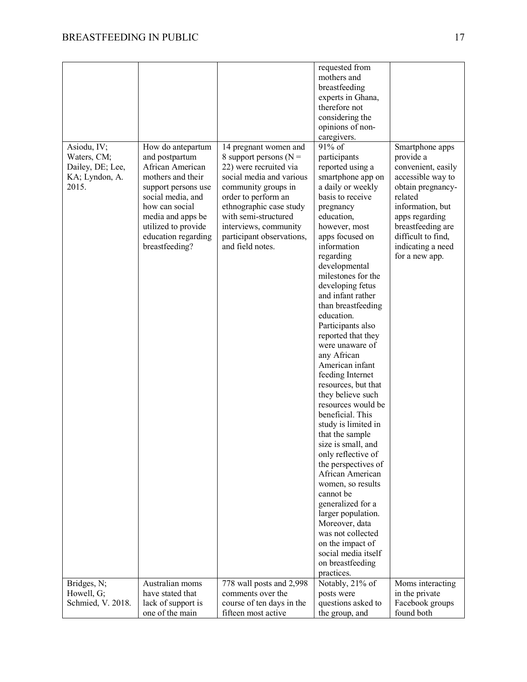|                   |                     |                           | requested from      |                    |
|-------------------|---------------------|---------------------------|---------------------|--------------------|
|                   |                     |                           | mothers and         |                    |
|                   |                     |                           | breastfeeding       |                    |
|                   |                     |                           | experts in Ghana,   |                    |
|                   |                     |                           | therefore not       |                    |
|                   |                     |                           | considering the     |                    |
|                   |                     |                           | opinions of non-    |                    |
|                   |                     |                           | caregivers.         |                    |
| Asiodu, IV;       | How do antepartum   | 14 pregnant women and     | 91% of              | Smartphone apps    |
| Waters, CM;       | and postpartum      | 8 support persons ( $N =$ | participants        | provide a          |
| Dailey, DE; Lee,  | African American    | 22) were recruited via    | reported using a    | convenient, easily |
| KA; Lyndon, A.    | mothers and their   | social media and various  | smartphone app on   | accessible way to  |
| 2015.             | support persons use | community groups in       | a daily or weekly   | obtain pregnancy-  |
|                   | social media, and   | order to perform an       | basis to receive    | related            |
|                   | how can social      | ethnographic case study   | pregnancy           | information, but   |
|                   | media and apps be   | with semi-structured      | education,          | apps regarding     |
|                   | utilized to provide | interviews, community     | however, most       | breastfeeding are  |
|                   | education regarding | participant observations, | apps focused on     | difficult to find, |
|                   | breastfeeding?      | and field notes.          | information         | indicating a need  |
|                   |                     |                           | regarding           | for a new app.     |
|                   |                     |                           | developmental       |                    |
|                   |                     |                           | milestones for the  |                    |
|                   |                     |                           | developing fetus    |                    |
|                   |                     |                           | and infant rather   |                    |
|                   |                     |                           | than breastfeeding  |                    |
|                   |                     |                           | education.          |                    |
|                   |                     |                           | Participants also   |                    |
|                   |                     |                           | reported that they  |                    |
|                   |                     |                           | were unaware of     |                    |
|                   |                     |                           | any African         |                    |
|                   |                     |                           | American infant     |                    |
|                   |                     |                           | feeding Internet    |                    |
|                   |                     |                           | resources, but that |                    |
|                   |                     |                           | they believe such   |                    |
|                   |                     |                           | resources would be  |                    |
|                   |                     |                           | beneficial. This    |                    |
|                   |                     |                           | study is limited in |                    |
|                   |                     |                           | that the sample     |                    |
|                   |                     |                           | size is small, and  |                    |
|                   |                     |                           | only reflective of  |                    |
|                   |                     |                           | the perspectives of |                    |
|                   |                     |                           | African American    |                    |
|                   |                     |                           | women, so results   |                    |
|                   |                     |                           | cannot be           |                    |
|                   |                     |                           | generalized for a   |                    |
|                   |                     |                           | larger population.  |                    |
|                   |                     |                           | Moreover, data      |                    |
|                   |                     |                           | was not collected   |                    |
|                   |                     |                           | on the impact of    |                    |
|                   |                     |                           | social media itself |                    |
|                   |                     |                           | on breastfeeding    |                    |
|                   |                     |                           | practices.          |                    |
| Bridges, N;       | Australian moms     | 778 wall posts and 2,998  | Notably, 21% of     | Moms interacting   |
| Howell, G;        | have stated that    | comments over the         | posts were          | in the private     |
| Schmied, V. 2018. | lack of support is  | course of ten days in the | questions asked to  | Facebook groups    |
|                   | one of the main     | fifteen most active       | the group, and      | found both         |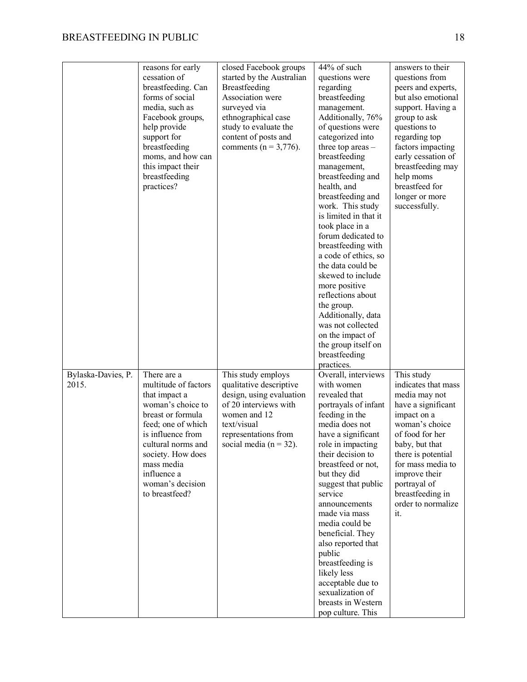|                    | reasons for early    | closed Facebook groups     | 44% of such           | answers to their    |
|--------------------|----------------------|----------------------------|-----------------------|---------------------|
|                    | cessation of         | started by the Australian  | questions were        | questions from      |
|                    | breastfeeding. Can   | Breastfeeding              | regarding             | peers and experts,  |
|                    | forms of social      | Association were           | breastfeeding         | but also emotional  |
|                    |                      |                            |                       |                     |
|                    | media, such as       | surveyed via               | management.           | support. Having a   |
|                    | Facebook groups,     | ethnographical case        | Additionally, 76%     | group to ask        |
|                    | help provide         | study to evaluate the      | of questions were     | questions to        |
|                    | support for          | content of posts and       | categorized into      | regarding top       |
|                    | breastfeeding        | comments ( $n = 3,776$ ).  | three top areas -     | factors impacting   |
|                    | moms, and how can    |                            | breastfeeding         | early cessation of  |
|                    | this impact their    |                            | management,           | breastfeeding may   |
|                    | breastfeeding        |                            | breastfeeding and     | help moms           |
|                    | practices?           |                            | health, and           | breastfeed for      |
|                    |                      |                            | breastfeeding and     | longer or more      |
|                    |                      |                            | work. This study      | successfully.       |
|                    |                      |                            | is limited in that it |                     |
|                    |                      |                            | took place in a       |                     |
|                    |                      |                            | forum dedicated to    |                     |
|                    |                      |                            | breastfeeding with    |                     |
|                    |                      |                            | a code of ethics, so  |                     |
|                    |                      |                            | the data could be     |                     |
|                    |                      |                            | skewed to include     |                     |
|                    |                      |                            | more positive         |                     |
|                    |                      |                            |                       |                     |
|                    |                      |                            | reflections about     |                     |
|                    |                      |                            | the group.            |                     |
|                    |                      |                            | Additionally, data    |                     |
|                    |                      |                            | was not collected     |                     |
|                    |                      |                            | on the impact of      |                     |
|                    |                      |                            | the group itself on   |                     |
|                    |                      |                            | breastfeeding         |                     |
|                    |                      |                            | practices.            |                     |
| Bylaska-Davies, P. | There are a          | This study employs         | Overall, interviews   | This study          |
| 2015.              | multitude of factors | qualitative descriptive    | with women            | indicates that mass |
|                    | that impact a        | design, using evaluation   | revealed that         | media may not       |
|                    | woman's choice to    | of 20 interviews with      | portrayals of infant  | have a significant  |
|                    | breast or formula    | women and 12               | feeding in the        | impact on a         |
|                    | feed; one of which   | text/visual                | media does not        | woman's choice      |
|                    | is influence from    | representations from       | have a significant    | of food for her     |
|                    | cultural norms and   | social media ( $n = 32$ ). | role in impacting     | baby, but that      |
|                    | society. How does    |                            | their decision to     | there is potential  |
|                    | mass media           |                            | breastfeed or not,    | for mass media to   |
|                    | influence a          |                            | but they did          | improve their       |
|                    | woman's decision     |                            | suggest that public   | portrayal of        |
|                    | to breastfeed?       |                            | service               | breastfeeding in    |
|                    |                      |                            | announcements         | order to normalize  |
|                    |                      |                            | made via mass         | it.                 |
|                    |                      |                            | media could be        |                     |
|                    |                      |                            |                       |                     |
|                    |                      |                            | beneficial. They      |                     |
|                    |                      |                            | also reported that    |                     |
|                    |                      |                            | public                |                     |
|                    |                      |                            | breastfeeding is      |                     |
|                    |                      |                            | likely less           |                     |
|                    |                      |                            | acceptable due to     |                     |
|                    |                      |                            | sexualization of      |                     |
|                    |                      |                            | breasts in Western    |                     |
|                    |                      |                            | pop culture. This     |                     |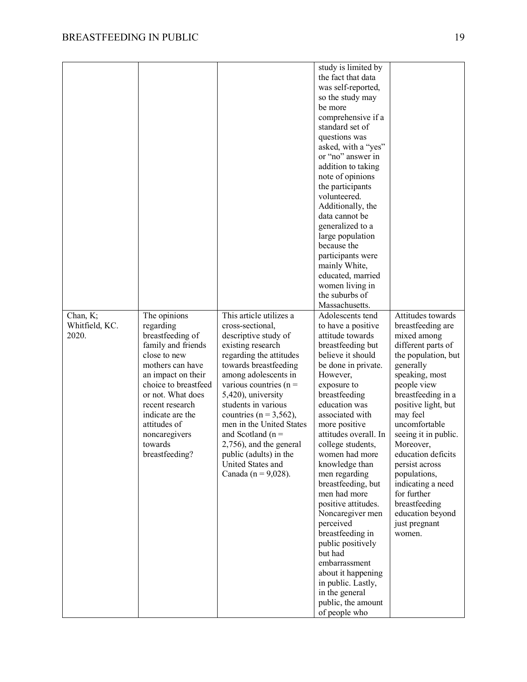|                |                      |                            | study is limited by   |                      |
|----------------|----------------------|----------------------------|-----------------------|----------------------|
|                |                      |                            | the fact that data    |                      |
|                |                      |                            | was self-reported,    |                      |
|                |                      |                            | so the study may      |                      |
|                |                      |                            | be more               |                      |
|                |                      |                            | comprehensive if a    |                      |
|                |                      |                            | standard set of       |                      |
|                |                      |                            | questions was         |                      |
|                |                      |                            | asked, with a "yes"   |                      |
|                |                      |                            | or "no" answer in     |                      |
|                |                      |                            | addition to taking    |                      |
|                |                      |                            | note of opinions      |                      |
|                |                      |                            | the participants      |                      |
|                |                      |                            | volunteered.          |                      |
|                |                      |                            | Additionally, the     |                      |
|                |                      |                            | data cannot be        |                      |
|                |                      |                            | generalized to a      |                      |
|                |                      |                            | large population      |                      |
|                |                      |                            | because the           |                      |
|                |                      |                            |                       |                      |
|                |                      |                            | participants were     |                      |
|                |                      |                            | mainly White,         |                      |
|                |                      |                            | educated, married     |                      |
|                |                      |                            | women living in       |                      |
|                |                      |                            | the suburbs of        |                      |
|                |                      |                            | Massachusetts.        |                      |
| Chan, K;       | The opinions         | This article utilizes a    | Adolescents tend      | Attitudes towards    |
| Whitfield, KC. | regarding            | cross-sectional,           | to have a positive    | breastfeeding are    |
| 2020.          | breastfeeding of     | descriptive study of       | attitude towards      | mixed among          |
|                | family and friends   | existing research          | breastfeeding but     | different parts of   |
|                | close to new         | regarding the attitudes    | believe it should     | the population, but  |
|                | mothers can have     | towards breastfeeding      | be done in private.   | generally            |
|                | an impact on their   | among adolescents in       | However,              | speaking, most       |
|                | choice to breastfeed | various countries ( $n =$  | exposure to           | people view          |
|                | or not. What does    | 5,420), university         | breastfeeding         | breastfeeding in a   |
|                | recent research      | students in various        | education was         | positive light, but  |
|                | indicate are the     | countries ( $n = 3,562$ ), | associated with       | may feel             |
|                | attitudes of         | men in the United States   | more positive         | uncomfortable        |
|                | noncaregivers        | and Scotland ( $n =$       | attitudes overall. In | seeing it in public. |
|                | towards              | 2,756), and the general    | college students,     | Moreover,            |
|                | breastfeeding?       | public (adults) in the     | women had more        | education deficits   |
|                |                      | United States and          | knowledge than        | persist across       |
|                |                      | Canada ( $n = 9,028$ ).    | men regarding         | populations,         |
|                |                      |                            | breastfeeding, but    | indicating a need    |
|                |                      |                            | men had more          | for further          |
|                |                      |                            | positive attitudes.   | breastfeeding        |
|                |                      |                            | Noncaregiver men      | education beyond     |
|                |                      |                            | perceived             | just pregnant        |
|                |                      |                            | breastfeeding in      | women.               |
|                |                      |                            | public positively     |                      |
|                |                      |                            | but had               |                      |
|                |                      |                            | embarrassment         |                      |
|                |                      |                            | about it happening    |                      |
|                |                      |                            | in public. Lastly,    |                      |
|                |                      |                            | in the general        |                      |
|                |                      |                            | public, the amount    |                      |
|                |                      |                            | of people who         |                      |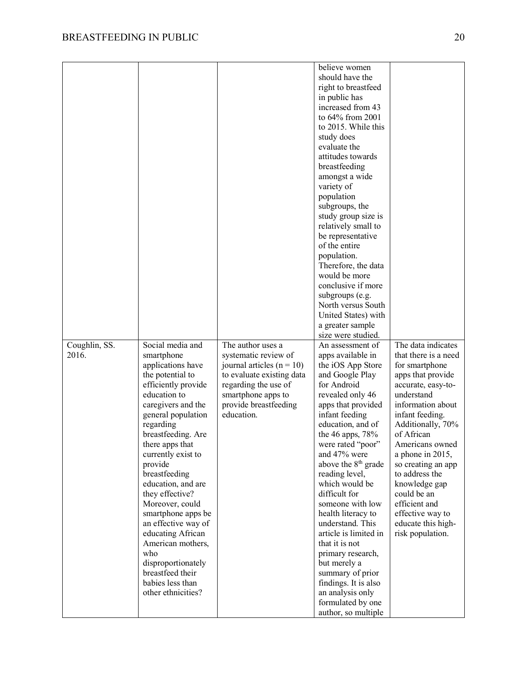|               |                     |                             | believe women                   |                      |
|---------------|---------------------|-----------------------------|---------------------------------|----------------------|
|               |                     |                             | should have the                 |                      |
|               |                     |                             | right to breastfeed             |                      |
|               |                     |                             | in public has                   |                      |
|               |                     |                             | increased from 43               |                      |
|               |                     |                             | to 64% from 2001                |                      |
|               |                     |                             |                                 |                      |
|               |                     |                             | to 2015. While this             |                      |
|               |                     |                             | study does                      |                      |
|               |                     |                             | evaluate the                    |                      |
|               |                     |                             | attitudes towards               |                      |
|               |                     |                             | breastfeeding                   |                      |
|               |                     |                             | amongst a wide                  |                      |
|               |                     |                             | variety of                      |                      |
|               |                     |                             | population                      |                      |
|               |                     |                             | subgroups, the                  |                      |
|               |                     |                             | study group size is             |                      |
|               |                     |                             | relatively small to             |                      |
|               |                     |                             | be representative               |                      |
|               |                     |                             | of the entire                   |                      |
|               |                     |                             |                                 |                      |
|               |                     |                             | population.                     |                      |
|               |                     |                             | Therefore, the data             |                      |
|               |                     |                             | would be more                   |                      |
|               |                     |                             | conclusive if more              |                      |
|               |                     |                             | subgroups (e.g.                 |                      |
|               |                     |                             | North versus South              |                      |
|               |                     |                             | United States) with             |                      |
|               |                     |                             | a greater sample                |                      |
|               |                     |                             | size were studied.              |                      |
| Coughlin, SS. | Social media and    | The author uses a           | An assessment of                | The data indicates   |
| 2016.         | smartphone          | systematic review of        | apps available in               | that there is a need |
|               | applications have   | journal articles $(n = 10)$ | the iOS App Store               | for smartphone       |
|               | the potential to    | to evaluate existing data   | and Google Play                 | apps that provide    |
|               | efficiently provide | regarding the use of        | for Android                     | accurate, easy-to-   |
|               | education to        | smartphone apps to          | revealed only 46                | understand           |
|               | caregivers and the  | provide breastfeeding       | apps that provided              | information about    |
|               | general population  | education.                  |                                 |                      |
|               |                     |                             |                                 |                      |
|               |                     |                             | infant feeding                  | infant feeding.      |
|               | regarding           |                             | education, and of               | Additionally, 70%    |
|               | breastfeeding. Are  |                             | the 46 apps, $78%$              | of African           |
|               | there apps that     |                             | were rated "poor"               | Americans owned      |
|               | currently exist to  |                             | and 47% were                    | a phone in 2015,     |
|               | provide             |                             | above the 8 <sup>th</sup> grade | so creating an app   |
|               | breastfeeding       |                             | reading level,                  | to address the       |
|               | education, and are  |                             | which would be                  | knowledge gap        |
|               | they effective?     |                             | difficult for                   | could be an          |
|               | Moreover, could     |                             | someone with low                | efficient and        |
|               | smartphone apps be  |                             | health literacy to              | effective way to     |
|               | an effective way of |                             | understand. This                | educate this high-   |
|               | educating African   |                             | article is limited in           | risk population.     |
|               | American mothers,   |                             | that it is not                  |                      |
|               | who                 |                             | primary research,               |                      |
|               | disproportionately  |                             | but merely a                    |                      |
|               | breastfeed their    |                             |                                 |                      |
|               | babies less than    |                             | summary of prior                |                      |
|               |                     |                             | findings. It is also            |                      |
|               | other ethnicities?  |                             | an analysis only                |                      |
|               |                     |                             | formulated by one               |                      |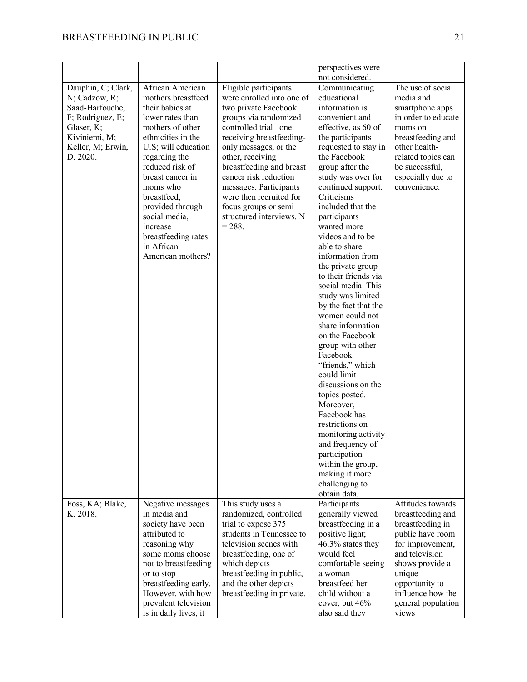|                                                                                                                                            |                                                                                                                                                                                                                                                                                                                                              |                                                                                                                                                                                                                                                                                                                                                                                | perspectives were                                                                                                                                                                                                                                                                                                                                                                                                                                                                                                                                                                                                                                                                                                                                                                                                           |                                                                                                                                                                                                                         |
|--------------------------------------------------------------------------------------------------------------------------------------------|----------------------------------------------------------------------------------------------------------------------------------------------------------------------------------------------------------------------------------------------------------------------------------------------------------------------------------------------|--------------------------------------------------------------------------------------------------------------------------------------------------------------------------------------------------------------------------------------------------------------------------------------------------------------------------------------------------------------------------------|-----------------------------------------------------------------------------------------------------------------------------------------------------------------------------------------------------------------------------------------------------------------------------------------------------------------------------------------------------------------------------------------------------------------------------------------------------------------------------------------------------------------------------------------------------------------------------------------------------------------------------------------------------------------------------------------------------------------------------------------------------------------------------------------------------------------------------|-------------------------------------------------------------------------------------------------------------------------------------------------------------------------------------------------------------------------|
| Dauphin, C; Clark,<br>N; Cadzow, R;<br>Saad-Harfouche,<br>F; Rodriguez, E;<br>Glaser, K;<br>Kiviniemi, M;<br>Keller, M; Erwin,<br>D. 2020. | African American<br>mothers breastfeed<br>their babies at<br>lower rates than<br>mothers of other<br>ethnicities in the<br>U.S; will education<br>regarding the<br>reduced risk of<br>breast cancer in<br>moms who<br>breastfeed,<br>provided through<br>social media,<br>increase<br>breastfeeding rates<br>in African<br>American mothers? | Eligible participants<br>were enrolled into one of<br>two private Facebook<br>groups via randomized<br>controlled trial-one<br>receiving breastfeeding-<br>only messages, or the<br>other, receiving<br>breastfeeding and breast<br>cancer risk reduction<br>messages. Participants<br>were then recruited for<br>focus groups or semi<br>structured interviews. N<br>$= 288.$ | not considered.<br>Communicating<br>educational<br>information is<br>convenient and<br>effective, as 60 of<br>the participants<br>requested to stay in<br>the Facebook<br>group after the<br>study was over for<br>continued support.<br>Criticisms<br>included that the<br>participants<br>wanted more<br>videos and to be<br>able to share<br>information from<br>the private group<br>to their friends via<br>social media. This<br>study was limited<br>by the fact that the<br>women could not<br>share information<br>on the Facebook<br>group with other<br>Facebook<br>"friends," which<br>could limit<br>discussions on the<br>topics posted.<br>Moreover,<br>Facebook has<br>restrictions on<br>monitoring activity<br>and frequency of<br>participation<br>within the group,<br>making it more<br>challenging to | The use of social<br>media and<br>smartphone apps<br>in order to educate<br>moms on<br>breastfeeding and<br>other health-<br>related topics can<br>be successful,<br>especially due to<br>convenience.                  |
| Foss, KA; Blake,<br>K. 2018.                                                                                                               | Negative messages<br>in media and<br>society have been<br>attributed to<br>reasoning why<br>some moms choose<br>not to breastfeeding<br>or to stop<br>breastfeeding early.<br>However, with how<br>prevalent television<br>is in daily lives, it                                                                                             | This study uses a<br>randomized, controlled<br>trial to expose 375<br>students in Tennessee to<br>television scenes with<br>breastfeeding, one of<br>which depicts<br>breastfeeding in public,<br>and the other depicts<br>breastfeeding in private.                                                                                                                           | obtain data.<br>Participants<br>generally viewed<br>breastfeeding in a<br>positive light;<br>46.3% states they<br>would feel<br>comfortable seeing<br>a woman<br>breastfeed her<br>child without a<br>cover, but 46%<br>also said they                                                                                                                                                                                                                                                                                                                                                                                                                                                                                                                                                                                      | Attitudes towards<br>breastfeeding and<br>breastfeeding in<br>public have room<br>for improvement,<br>and television<br>shows provide a<br>unique<br>opportunity to<br>influence how the<br>general population<br>views |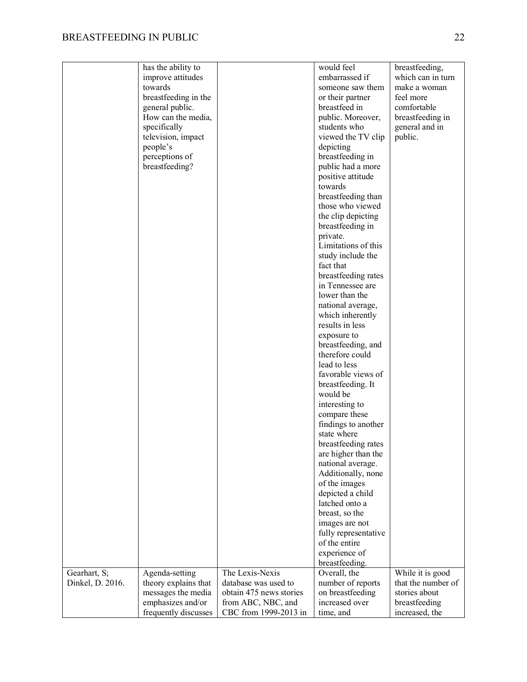|                  | has the ability to   |                         | would feel           | breastfeeding,     |
|------------------|----------------------|-------------------------|----------------------|--------------------|
|                  | improve attitudes    |                         | embarrassed if       | which can in turn  |
|                  | towards              |                         | someone saw them     | make a woman       |
|                  | breastfeeding in the |                         | or their partner     | feel more          |
|                  | general public.      |                         | breastfeed in        | comfortable        |
|                  | How can the media,   |                         | public. Moreover,    | breastfeeding in   |
|                  | specifically         |                         | students who         | general and in     |
|                  | television, impact   |                         | viewed the TV clip   | public.            |
|                  | people's             |                         | depicting            |                    |
|                  | perceptions of       |                         | breastfeeding in     |                    |
|                  | breastfeeding?       |                         | public had a more    |                    |
|                  |                      |                         | positive attitude    |                    |
|                  |                      |                         | towards              |                    |
|                  |                      |                         | breastfeeding than   |                    |
|                  |                      |                         | those who viewed     |                    |
|                  |                      |                         | the clip depicting   |                    |
|                  |                      |                         | breastfeeding in     |                    |
|                  |                      |                         | private.             |                    |
|                  |                      |                         | Limitations of this  |                    |
|                  |                      |                         | study include the    |                    |
|                  |                      |                         | fact that            |                    |
|                  |                      |                         | breastfeeding rates  |                    |
|                  |                      |                         | in Tennessee are     |                    |
|                  |                      |                         | lower than the       |                    |
|                  |                      |                         | national average,    |                    |
|                  |                      |                         | which inherently     |                    |
|                  |                      |                         | results in less      |                    |
|                  |                      |                         | exposure to          |                    |
|                  |                      |                         | breastfeeding, and   |                    |
|                  |                      |                         | therefore could      |                    |
|                  |                      |                         | lead to less         |                    |
|                  |                      |                         | favorable views of   |                    |
|                  |                      |                         | breastfeeding. It    |                    |
|                  |                      |                         | would be             |                    |
|                  |                      |                         | interesting to       |                    |
|                  |                      |                         | compare these        |                    |
|                  |                      |                         | findings to another  |                    |
|                  |                      |                         | state where          |                    |
|                  |                      |                         | breastfeeding rates  |                    |
|                  |                      |                         | are higher than the  |                    |
|                  |                      |                         | national average.    |                    |
|                  |                      |                         | Additionally, none   |                    |
|                  |                      |                         | of the images        |                    |
|                  |                      |                         | depicted a child     |                    |
|                  |                      |                         | latched onto a       |                    |
|                  |                      |                         | breast, so the       |                    |
|                  |                      |                         | images are not       |                    |
|                  |                      |                         | fully representative |                    |
|                  |                      |                         | of the entire        |                    |
|                  |                      |                         | experience of        |                    |
|                  |                      |                         | breastfeeding.       |                    |
| Gearhart, S;     | Agenda-setting       | The Lexis-Nexis         | Overall, the         | While it is good   |
| Dinkel, D. 2016. | theory explains that | database was used to    | number of reports    | that the number of |
|                  | messages the media   | obtain 475 news stories | on breastfeeding     | stories about      |
|                  | emphasizes and/or    | from ABC, NBC, and      | increased over       | breastfeeding      |
|                  | frequently discusses | CBC from 1999-2013 in   | time, and            | increased, the     |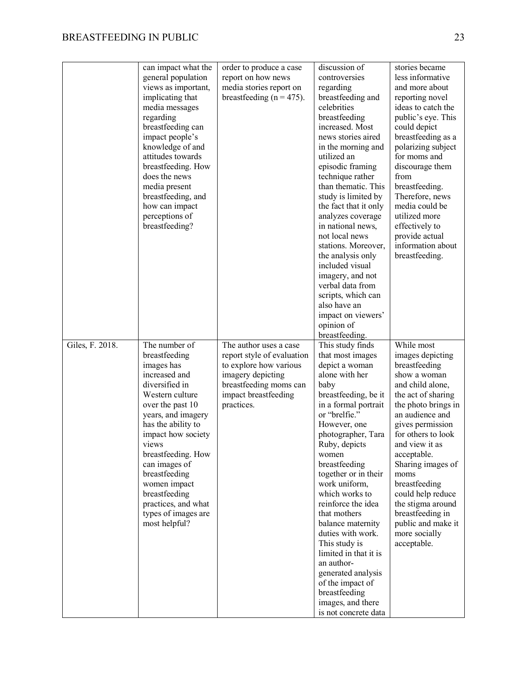|                 | can impact what the                  | order to produce a case      | discussion of                         | stories became                         |
|-----------------|--------------------------------------|------------------------------|---------------------------------------|----------------------------------------|
|                 | general population                   | report on how news           | controversies                         | less informative                       |
|                 | views as important,                  | media stories report on      | regarding                             | and more about                         |
|                 | implicating that                     | breastfeeding ( $n = 475$ ). | breastfeeding and                     | reporting novel                        |
|                 | media messages                       |                              | celebrities                           | ideas to catch the                     |
|                 | regarding                            |                              | breastfeeding                         | public's eye. This                     |
|                 | breastfeeding can                    |                              | increased. Most                       | could depict                           |
|                 | impact people's                      |                              | news stories aired                    | breastfeeding as a                     |
|                 | knowledge of and                     |                              | in the morning and                    | polarizing subject                     |
|                 | attitudes towards                    |                              | utilized an                           | for moms and                           |
|                 | breastfeeding. How                   |                              | episodic framing                      | discourage them                        |
|                 | does the news                        |                              | technique rather                      | from                                   |
|                 | media present                        |                              | than thematic. This                   | breastfeeding.                         |
|                 | breastfeeding, and                   |                              | study is limited by                   | Therefore, news                        |
|                 | how can impact                       |                              | the fact that it only                 | media could be                         |
|                 | perceptions of                       |                              | analyzes coverage                     | utilized more                          |
|                 | breastfeeding?                       |                              | in national news,                     | effectively to                         |
|                 |                                      |                              | not local news                        | provide actual                         |
|                 |                                      |                              | stations. Moreover,                   | information about                      |
|                 |                                      |                              | the analysis only                     | breastfeeding.                         |
|                 |                                      |                              | included visual                       |                                        |
|                 |                                      |                              | imagery, and not                      |                                        |
|                 |                                      |                              | verbal data from                      |                                        |
|                 |                                      |                              | scripts, which can                    |                                        |
|                 |                                      |                              | also have an                          |                                        |
|                 |                                      |                              | impact on viewers'                    |                                        |
|                 |                                      |                              | opinion of                            |                                        |
|                 |                                      |                              | breastfeeding.                        |                                        |
|                 |                                      |                              |                                       |                                        |
|                 |                                      |                              |                                       |                                        |
| Giles, F. 2018. | The number of                        | The author uses a case       | This study finds                      | While most                             |
|                 | breastfeeding                        | report style of evaluation   | that most images                      | images depicting                       |
|                 | images has                           | to explore how various       | depict a woman                        | breastfeeding                          |
|                 | increased and                        | imagery depicting            | alone with her                        | show a woman                           |
|                 | diversified in                       | breastfeeding moms can       | baby                                  | and child alone,                       |
|                 | Western culture                      | impact breastfeeding         | breastfeeding, be it                  | the act of sharing                     |
|                 | over the past 10                     | practices.                   | in a formal portrait<br>or "brelfie." | the photo brings in                    |
|                 | years, and imagery                   |                              |                                       | an audience and                        |
|                 | has the ability to                   |                              | However, one                          | gives permission<br>for others to look |
|                 | impact how society<br>views          |                              | photographer, Tara<br>Ruby, depicts   | and view it as                         |
|                 |                                      |                              | women                                 | acceptable.                            |
|                 | breastfeeding. How<br>can images of  |                              | breastfeeding                         |                                        |
|                 |                                      |                              | together or in their                  | Sharing images of<br>moms              |
|                 | breastfeeding                        |                              | work uniform,                         |                                        |
|                 | women impact                         |                              | which works to                        | breastfeeding<br>could help reduce     |
|                 | breastfeeding<br>practices, and what |                              | reinforce the idea                    | the stigma around                      |
|                 | types of images are                  |                              | that mothers                          | breastfeeding in                       |
|                 | most helpful?                        |                              | balance maternity                     | public and make it                     |
|                 |                                      |                              | duties with work.                     | more socially                          |
|                 |                                      |                              | This study is                         | acceptable.                            |
|                 |                                      |                              | limited in that it is                 |                                        |
|                 |                                      |                              | an author-                            |                                        |
|                 |                                      |                              | generated analysis                    |                                        |
|                 |                                      |                              | of the impact of                      |                                        |
|                 |                                      |                              | breastfeeding                         |                                        |
|                 |                                      |                              | images, and there                     |                                        |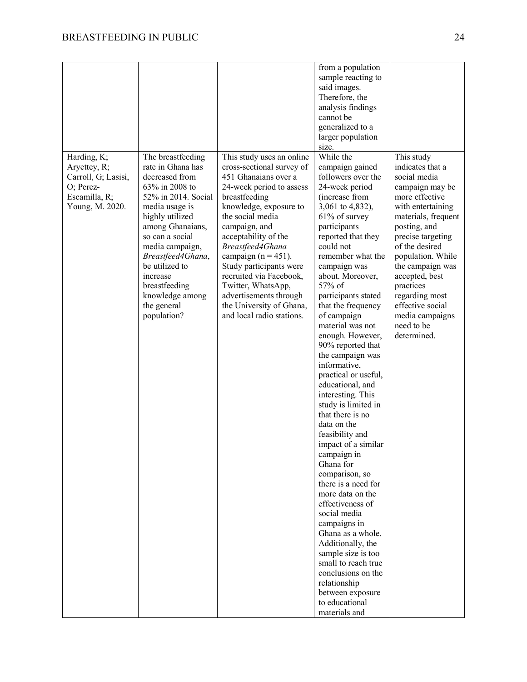|                     |                     |                           | from a population    |                     |
|---------------------|---------------------|---------------------------|----------------------|---------------------|
|                     |                     |                           | sample reacting to   |                     |
|                     |                     |                           | said images.         |                     |
|                     |                     |                           | Therefore, the       |                     |
|                     |                     |                           | analysis findings    |                     |
|                     |                     |                           | cannot be            |                     |
|                     |                     |                           | generalized to a     |                     |
|                     |                     |                           | larger population    |                     |
|                     |                     |                           | size.                |                     |
| Harding, K;         | The breastfeeding   | This study uses an online | While the            | This study          |
| Aryettey, R;        | rate in Ghana has   | cross-sectional survey of | campaign gained      | indicates that a    |
| Carroll, G; Lasisi, | decreased from      | 451 Ghanaians over a      | followers over the   | social media        |
| O; Perez-           | 63% in 2008 to      | 24-week period to assess  | 24-week period       | campaign may be     |
| Escamilla, R;       | 52% in 2014. Social | breastfeeding             | (increase from       | more effective      |
| Young, M. 2020.     | media usage is      | knowledge, exposure to    | 3,061 to 4,832),     | with entertaining   |
|                     | highly utilized     | the social media          | $61\%$ of survey     | materials, frequent |
|                     | among Ghanaians,    | campaign, and             | participants         | posting, and        |
|                     | so can a social     | acceptability of the      | reported that they   | precise targeting   |
|                     | media campaign,     | Breastfeed4Ghana          | could not            | of the desired      |
|                     | Breastfeed4Ghana,   | campaign $(n = 451)$ .    | remember what the    | population. While   |
|                     | be utilized to      | Study participants were   | campaign was         | the campaign was    |
|                     | increase            | recruited via Facebook,   | about. Moreover,     | accepted, best      |
|                     | breastfeeding       | Twitter, WhatsApp,        | 57% of               | practices           |
|                     | knowledge among     | advertisements through    | participants stated  | regarding most      |
|                     | the general         | the University of Ghana,  | that the frequency   | effective social    |
|                     | population?         | and local radio stations. | of campaign          | media campaigns     |
|                     |                     |                           | material was not     | need to be          |
|                     |                     |                           | enough. However,     | determined.         |
|                     |                     |                           | 90% reported that    |                     |
|                     |                     |                           | the campaign was     |                     |
|                     |                     |                           | informative,         |                     |
|                     |                     |                           | practical or useful, |                     |
|                     |                     |                           | educational, and     |                     |
|                     |                     |                           | interesting. This    |                     |
|                     |                     |                           | study is limited in  |                     |
|                     |                     |                           | that there is no     |                     |
|                     |                     |                           | data on the          |                     |
|                     |                     |                           | feasibility and      |                     |
|                     |                     |                           | impact of a similar  |                     |
|                     |                     |                           | campaign in          |                     |
|                     |                     |                           | Ghana for            |                     |
|                     |                     |                           | comparison, so       |                     |
|                     |                     |                           | there is a need for  |                     |
|                     |                     |                           | more data on the     |                     |
|                     |                     |                           | effectiveness of     |                     |
|                     |                     |                           | social media         |                     |
|                     |                     |                           | campaigns in         |                     |
|                     |                     |                           | Ghana as a whole.    |                     |
|                     |                     |                           | Additionally, the    |                     |
|                     |                     |                           | sample size is too   |                     |
|                     |                     |                           | small to reach true  |                     |
|                     |                     |                           | conclusions on the   |                     |
|                     |                     |                           | relationship         |                     |
|                     |                     |                           | between exposure     |                     |
|                     |                     |                           | to educational       |                     |
|                     |                     |                           | materials and        |                     |
|                     |                     |                           |                      |                     |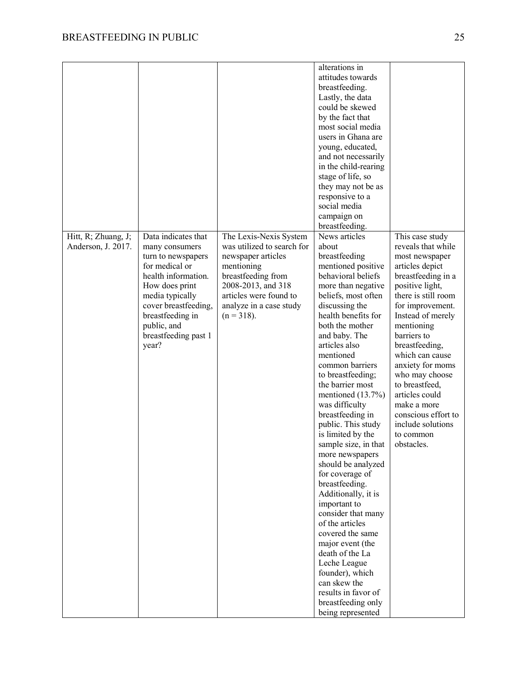|                     |                      |                            | alterations in<br>attitudes towards |                     |
|---------------------|----------------------|----------------------------|-------------------------------------|---------------------|
|                     |                      |                            | breastfeeding.                      |                     |
|                     |                      |                            |                                     |                     |
|                     |                      |                            | Lastly, the data                    |                     |
|                     |                      |                            | could be skewed                     |                     |
|                     |                      |                            | by the fact that                    |                     |
|                     |                      |                            | most social media                   |                     |
|                     |                      |                            | users in Ghana are                  |                     |
|                     |                      |                            | young, educated,                    |                     |
|                     |                      |                            | and not necessarily                 |                     |
|                     |                      |                            | in the child-rearing                |                     |
|                     |                      |                            | stage of life, so                   |                     |
|                     |                      |                            | they may not be as                  |                     |
|                     |                      |                            | responsive to a                     |                     |
|                     |                      |                            | social media                        |                     |
|                     |                      |                            | campaign on                         |                     |
|                     |                      |                            | breastfeeding.                      |                     |
| Hitt, R; Zhuang, J; | Data indicates that  | The Lexis-Nexis System     | News articles                       | This case study     |
| Anderson, J. 2017.  | many consumers       | was utilized to search for | about                               | reveals that while  |
|                     | turn to newspapers   | newspaper articles         | breastfeeding                       | most newspaper      |
|                     | for medical or       | mentioning                 | mentioned positive                  | articles depict     |
|                     | health information.  | breastfeeding from         | behavioral beliefs                  | breastfeeding in a  |
|                     | How does print       | 2008-2013, and 318         | more than negative                  | positive light,     |
|                     | media typically      | articles were found to     | beliefs, most often                 | there is still room |
|                     | cover breastfeeding, | analyze in a case study    | discussing the                      | for improvement.    |
|                     | breastfeeding in     | $(n = 318)$ .              | health benefits for                 | Instead of merely   |
|                     | public, and          |                            | both the mother                     | mentioning          |
|                     | breastfeeding past 1 |                            | and baby. The                       | barriers to         |
|                     | year?                |                            | articles also                       | breastfeeding,      |
|                     |                      |                            | mentioned                           | which can cause     |
|                     |                      |                            | common barriers                     | anxiety for moms    |
|                     |                      |                            | to breastfeeding;                   | who may choose      |
|                     |                      |                            | the barrier most                    | to breastfeed,      |
|                     |                      |                            | mentioned $(13.7%)$                 | articles could      |
|                     |                      |                            | was difficulty                      | make a more         |
|                     |                      |                            | breastfeeding in                    | conscious effort to |
|                     |                      |                            | public. This study                  | include solutions   |
|                     |                      |                            | is limited by the                   | to common           |
|                     |                      |                            | sample size, in that                | obstacles.          |
|                     |                      |                            | more newspapers                     |                     |
|                     |                      |                            | should be analyzed                  |                     |
|                     |                      |                            | for coverage of                     |                     |
|                     |                      |                            | breastfeeding.                      |                     |
|                     |                      |                            | Additionally, it is                 |                     |
|                     |                      |                            | important to                        |                     |
|                     |                      |                            | consider that many                  |                     |
|                     |                      |                            | of the articles                     |                     |
|                     |                      |                            | covered the same                    |                     |
|                     |                      |                            | major event (the                    |                     |
|                     |                      |                            | death of the La                     |                     |
|                     |                      |                            | Leche League                        |                     |
|                     |                      |                            | founder), which                     |                     |
|                     |                      |                            | can skew the                        |                     |
|                     |                      |                            | results in favor of                 |                     |
|                     |                      |                            | breastfeeding only                  |                     |
|                     |                      |                            | being represented                   |                     |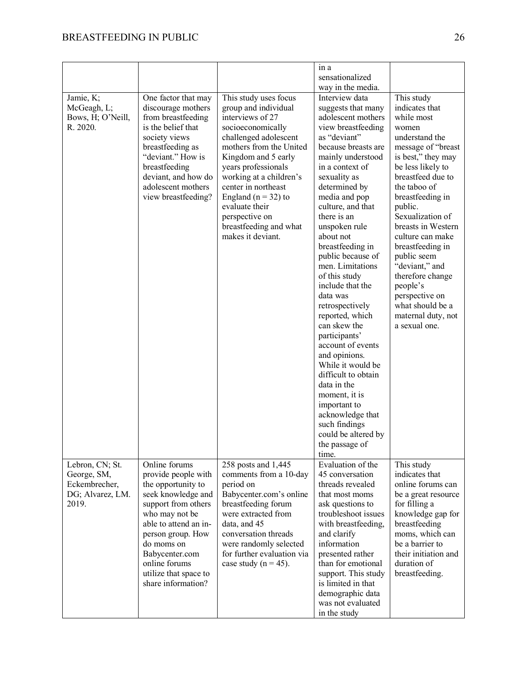|                                                                              |                                                                                                                                                                                                                                                                         |                                                                                                                                                                                                                                                                                                                                                          | in a<br>sensationalized                                                                                                                                                                                                                                                                                                                                                                                                                                                                                                                                                                                                                                                                                                |                                                                                                                                                                                                                                                                                                                                                                                                                                            |
|------------------------------------------------------------------------------|-------------------------------------------------------------------------------------------------------------------------------------------------------------------------------------------------------------------------------------------------------------------------|----------------------------------------------------------------------------------------------------------------------------------------------------------------------------------------------------------------------------------------------------------------------------------------------------------------------------------------------------------|------------------------------------------------------------------------------------------------------------------------------------------------------------------------------------------------------------------------------------------------------------------------------------------------------------------------------------------------------------------------------------------------------------------------------------------------------------------------------------------------------------------------------------------------------------------------------------------------------------------------------------------------------------------------------------------------------------------------|--------------------------------------------------------------------------------------------------------------------------------------------------------------------------------------------------------------------------------------------------------------------------------------------------------------------------------------------------------------------------------------------------------------------------------------------|
| Jamie, K;<br>McGeagh, L;<br>Bows, H; O'Neill,<br>R. 2020.                    | One factor that may<br>discourage mothers<br>from breastfeeding<br>is the belief that<br>society views<br>breastfeeding as<br>"deviant." How is<br>breastfeeding<br>deviant, and how do<br>adolescent mothers<br>view breastfeeding?                                    | This study uses focus<br>group and individual<br>interviews of 27<br>socioeconomically<br>challenged adolescent<br>mothers from the United<br>Kingdom and 5 early<br>years professionals<br>working at a children's<br>center in northeast<br>England ( $n = 32$ ) to<br>evaluate their<br>perspective on<br>breastfeeding and what<br>makes it deviant. | way in the media.<br>Interview data<br>suggests that many<br>adolescent mothers<br>view breastfeeding<br>as "deviant"<br>because breasts are<br>mainly understood<br>in a context of<br>sexuality as<br>determined by<br>media and pop<br>culture, and that<br>there is an<br>unspoken rule<br>about not<br>breastfeeding in<br>public because of<br>men. Limitations<br>of this study<br>include that the<br>data was<br>retrospectively<br>reported, which<br>can skew the<br>participants'<br>account of events<br>and opinions.<br>While it would be<br>difficult to obtain<br>data in the<br>moment, it is<br>important to<br>acknowledge that<br>such findings<br>could be altered by<br>the passage of<br>time. | This study<br>indicates that<br>while most<br>women<br>understand the<br>message of "breast<br>is best," they may<br>be less likely to<br>breastfeed due to<br>the taboo of<br>breastfeeding in<br>public.<br>Sexualization of<br>breasts in Western<br>culture can make<br>breastfeeding in<br>public seem<br>"deviant," and<br>therefore change<br>people's<br>perspective on<br>what should be a<br>maternal duty, not<br>a sexual one. |
| Lebron, CN; St.<br>George, SM,<br>Eckembrecher,<br>DG; Alvarez, LM.<br>2019. | Online forums<br>provide people with<br>the opportunity to<br>seek knowledge and<br>support from others<br>who may not be<br>able to attend an in-<br>person group. How<br>do moms on<br>Babycenter.com<br>online forums<br>utilize that space to<br>share information? | 258 posts and 1,445<br>comments from a 10-day<br>period on<br>Babycenter.com's online<br>breastfeeding forum<br>were extracted from<br>data, and 45<br>conversation threads<br>were randomly selected<br>for further evaluation via<br>case study ( $n = 45$ ).                                                                                          | Evaluation of the<br>45 conversation<br>threads revealed<br>that most moms<br>ask questions to<br>troubleshoot issues<br>with breastfeeding,<br>and clarify<br>information<br>presented rather<br>than for emotional<br>support. This study<br>is limited in that<br>demographic data<br>was not evaluated<br>in the study                                                                                                                                                                                                                                                                                                                                                                                             | This study<br>indicates that<br>online forums can<br>be a great resource<br>for filling a<br>knowledge gap for<br>breastfeeding<br>moms, which can<br>be a barrier to<br>their initiation and<br>duration of<br>breastfeeding.                                                                                                                                                                                                             |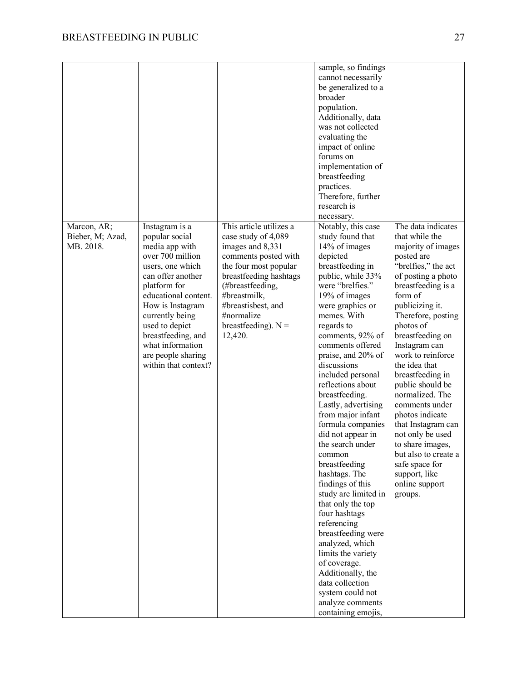|                  |                      |                         | sample, so findings                  |                      |
|------------------|----------------------|-------------------------|--------------------------------------|----------------------|
|                  |                      |                         | cannot necessarily                   |                      |
|                  |                      |                         | be generalized to a                  |                      |
|                  |                      |                         | broader                              |                      |
|                  |                      |                         | population.                          |                      |
|                  |                      |                         | Additionally, data                   |                      |
|                  |                      |                         | was not collected                    |                      |
|                  |                      |                         | evaluating the                       |                      |
|                  |                      |                         |                                      |                      |
|                  |                      |                         | impact of online<br>forums on        |                      |
|                  |                      |                         |                                      |                      |
|                  |                      |                         | implementation of<br>breastfeeding   |                      |
|                  |                      |                         | practices.                           |                      |
|                  |                      |                         | Therefore, further                   |                      |
|                  |                      |                         | research is                          |                      |
|                  |                      |                         |                                      |                      |
|                  |                      |                         | necessary.                           |                      |
| Marcon, AR;      | Instagram is a       | This article utilizes a | Notably, this case                   | The data indicates   |
| Bieber, M; Azad, | popular social       | case study of 4,089     | study found that                     | that while the       |
| MB. 2018.        | media app with       | images and 8,331        | 14% of images                        | majority of images   |
|                  | over 700 million     | comments posted with    | depicted                             | posted are           |
|                  | users, one which     | the four most popular   | breastfeeding in                     | "brelfies," the act  |
|                  | can offer another    | breastfeeding hashtags  | public, while 33%                    | of posting a photo   |
|                  | platform for         | (#breastfeeding,        | were "brelfies."                     | breastfeeding is a   |
|                  | educational content. | #breastmilk,            | 19% of images                        | form of              |
|                  | How is Instagram     | #breastisbest, and      | were graphics or                     | publicizing it.      |
|                  | currently being      | #normalize              | memes. With                          | Therefore, posting   |
|                  | used to depict       | breastfeeding). $N =$   | regards to                           | photos of            |
|                  | breastfeeding, and   | 12,420.                 | comments, 92% of                     | breastfeeding on     |
|                  | what information     |                         | comments offered                     | Instagram can        |
|                  | are people sharing   |                         | praise, and 20% of                   | work to reinforce    |
|                  | within that context? |                         | discussions                          | the idea that        |
|                  |                      |                         | included personal                    | breastfeeding in     |
|                  |                      |                         | reflections about                    | public should be     |
|                  |                      |                         | breastfeeding.                       | normalized. The      |
|                  |                      |                         | Lastly, advertising                  | comments under       |
|                  |                      |                         | from major infant                    | photos indicate      |
|                  |                      |                         | formula companies                    | that Instagram can   |
|                  |                      |                         | did not appear in                    | not only be used     |
|                  |                      |                         | the search under                     | to share images,     |
|                  |                      |                         | common                               | but also to create a |
|                  |                      |                         | breastfeeding                        | safe space for       |
|                  |                      |                         | hashtags. The                        | support, like        |
|                  |                      |                         | findings of this                     | online support       |
|                  |                      |                         | study are limited in                 | groups.              |
|                  |                      |                         | that only the top                    |                      |
|                  |                      |                         | four hashtags                        |                      |
|                  |                      |                         | referencing                          |                      |
|                  |                      |                         | breastfeeding were                   |                      |
|                  |                      |                         | analyzed, which                      |                      |
|                  |                      |                         | limits the variety                   |                      |
|                  |                      |                         | of coverage.                         |                      |
|                  |                      |                         |                                      |                      |
|                  |                      |                         | Additionally, the<br>data collection |                      |
|                  |                      |                         |                                      |                      |
|                  |                      |                         | system could not                     |                      |
|                  |                      |                         | analyze comments                     |                      |
|                  |                      |                         | containing emojis,                   |                      |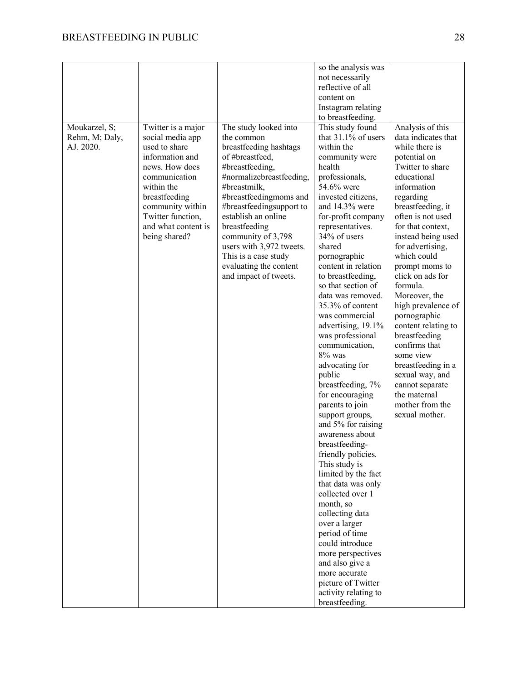|                |                                          |                                                 | so the analysis was<br>not necessarily    |                                        |
|----------------|------------------------------------------|-------------------------------------------------|-------------------------------------------|----------------------------------------|
|                |                                          |                                                 | reflective of all                         |                                        |
|                |                                          |                                                 | content on                                |                                        |
|                |                                          |                                                 | Instagram relating                        |                                        |
|                |                                          |                                                 | to breastfeeding.                         |                                        |
| Moukarzel, S;  | Twitter is a major                       | The study looked into                           | This study found                          | Analysis of this                       |
| Rehm, M; Daly, | social media app                         | the common                                      | that 31.1% of users                       | data indicates that                    |
| AJ. 2020.      | used to share                            | breastfeeding hashtags                          | within the                                | while there is                         |
|                | information and                          | of #breastfeed,                                 | community were                            | potential on                           |
|                | news. How does                           | #breastfeeding,                                 | health                                    | Twitter to share                       |
|                | communication                            | #normalizebreastfeeding,                        | professionals,                            | educational                            |
|                | within the                               | #breastmilk,                                    | 54.6% were                                | information                            |
|                | breastfeeding                            | #breastfeedingmoms and                          | invested citizens,                        | regarding                              |
|                | community within                         | #breastfeedingsupport to<br>establish an online | and $14.3\%$ were                         | breastfeeding, it<br>often is not used |
|                | Twitter function,<br>and what content is | breastfeeding                                   | for-profit company<br>representatives.    | for that context,                      |
|                | being shared?                            | community of 3,798                              | 34% of users                              | instead being used                     |
|                |                                          | users with 3,972 tweets.                        | shared                                    | for advertising,                       |
|                |                                          | This is a case study                            | pornographic                              | which could                            |
|                |                                          | evaluating the content                          | content in relation                       | prompt moms to                         |
|                |                                          | and impact of tweets.                           | to breastfeeding,                         | click on ads for                       |
|                |                                          |                                                 | so that section of                        | formula.                               |
|                |                                          |                                                 | data was removed.                         | Moreover, the                          |
|                |                                          |                                                 | 35.3% of content                          | high prevalence of                     |
|                |                                          |                                                 | was commercial                            | pornographic                           |
|                |                                          |                                                 | advertising, 19.1%                        | content relating to                    |
|                |                                          |                                                 | was professional                          | breastfeeding<br>confirms that         |
|                |                                          |                                                 | communication,<br>8% was                  | some view                              |
|                |                                          |                                                 | advocating for                            | breastfeeding in a                     |
|                |                                          |                                                 | public                                    | sexual way, and                        |
|                |                                          |                                                 | breastfeeding, 7%                         | cannot separate                        |
|                |                                          |                                                 | for encouraging                           | the maternal                           |
|                |                                          |                                                 | parents to join                           | mother from the                        |
|                |                                          |                                                 | support groups,                           | sexual mother.                         |
|                |                                          |                                                 | and 5% for raising                        |                                        |
|                |                                          |                                                 | awareness about                           |                                        |
|                |                                          |                                                 | breastfeeding-                            |                                        |
|                |                                          |                                                 | friendly policies.                        |                                        |
|                |                                          |                                                 | This study is                             |                                        |
|                |                                          |                                                 | limited by the fact<br>that data was only |                                        |
|                |                                          |                                                 | collected over 1                          |                                        |
|                |                                          |                                                 | month, so                                 |                                        |
|                |                                          |                                                 | collecting data                           |                                        |
|                |                                          |                                                 | over a larger                             |                                        |
|                |                                          |                                                 | period of time                            |                                        |
|                |                                          |                                                 | could introduce                           |                                        |
|                |                                          |                                                 | more perspectives                         |                                        |
|                |                                          |                                                 | and also give a                           |                                        |
|                |                                          |                                                 | more accurate                             |                                        |
|                |                                          |                                                 | picture of Twitter                        |                                        |
|                |                                          |                                                 | activity relating to<br>breastfeeding.    |                                        |
|                |                                          |                                                 |                                           |                                        |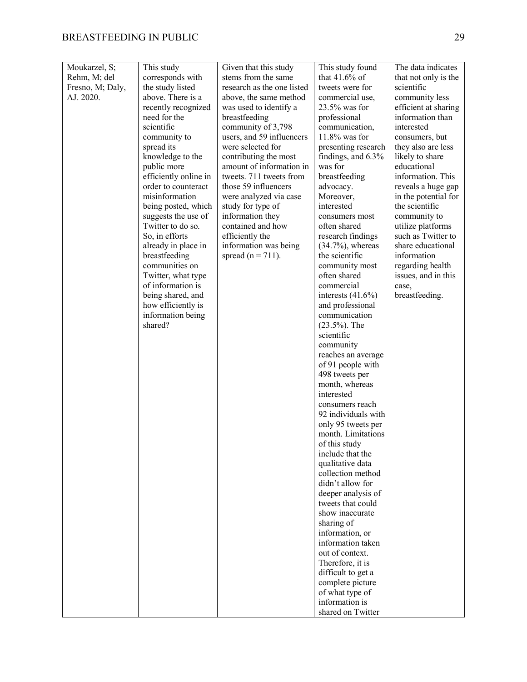| Moukarzel, S;    | This study                               | Given that this study                 | This study found                     | The data indicates                      |
|------------------|------------------------------------------|---------------------------------------|--------------------------------------|-----------------------------------------|
| Rehm, M; del     | corresponds with                         | stems from the same                   | that $41.6\%$ of                     | that not only is the                    |
| Fresno, M; Daly, | the study listed                         | research as the one listed            | tweets were for                      | scientific                              |
| AJ. 2020.        | above. There is a                        | above, the same method                | commercial use,                      | community less                          |
|                  | recently recognized                      | was used to identify a                | 23.5% was for                        | efficient at sharing                    |
|                  | need for the                             | breastfeeding                         | professional                         | information than                        |
|                  | scientific                               | community of 3,798                    | communication,                       | interested                              |
|                  | community to                             | users, and 59 influencers             | $11.8\%$ was for                     | consumers, but                          |
|                  | spread its                               | were selected for                     | presenting research                  | they also are less                      |
|                  | knowledge to the                         | contributing the most                 | findings, and 6.3%                   | likely to share                         |
|                  | public more                              | amount of information in              | was for                              | educational                             |
|                  | efficiently online in                    | tweets. 711 tweets from               | breastfeeding                        | information. This                       |
|                  | order to counteract                      | those 59 influencers                  | advocacy.                            | reveals a huge gap                      |
|                  | misinformation                           | were analyzed via case                | Moreover,                            | in the potential for                    |
|                  | being posted, which                      | study for type of                     | interested                           | the scientific                          |
|                  | suggests the use of<br>Twitter to do so. | information they<br>contained and how | consumers most                       | community to                            |
|                  | So, in efforts                           | efficiently the                       | often shared<br>research findings    | utilize platforms<br>such as Twitter to |
|                  | already in place in                      | information was being                 | $(34.7\%)$ , whereas                 | share educational                       |
|                  | breastfeeding                            | spread ( $n = 711$ ).                 | the scientific                       | information                             |
|                  | communities on                           |                                       | community most                       | regarding health                        |
|                  | Twitter, what type                       |                                       | often shared                         | issues, and in this                     |
|                  | of information is                        |                                       | commercial                           | case,                                   |
|                  | being shared, and                        |                                       | interests $(41.6\%)$                 | breastfeeding.                          |
|                  | how efficiently is                       |                                       | and professional                     |                                         |
|                  | information being                        |                                       | communication                        |                                         |
|                  | shared?                                  |                                       | $(23.5\%)$ . The                     |                                         |
|                  |                                          |                                       | scientific                           |                                         |
|                  |                                          |                                       | community                            |                                         |
|                  |                                          |                                       | reaches an average                   |                                         |
|                  |                                          |                                       | of 91 people with                    |                                         |
|                  |                                          |                                       | 498 tweets per                       |                                         |
|                  |                                          |                                       | month, whereas                       |                                         |
|                  |                                          |                                       | interested                           |                                         |
|                  |                                          |                                       | consumers reach                      |                                         |
|                  |                                          |                                       | 92 individuals with                  |                                         |
|                  |                                          |                                       | only 95 tweets per                   |                                         |
|                  |                                          |                                       | month. Limitations                   |                                         |
|                  |                                          |                                       | of this study                        |                                         |
|                  |                                          |                                       | include that the<br>qualitative data |                                         |
|                  |                                          |                                       | collection method                    |                                         |
|                  |                                          |                                       | didn't allow for                     |                                         |
|                  |                                          |                                       | deeper analysis of                   |                                         |
|                  |                                          |                                       | tweets that could                    |                                         |
|                  |                                          |                                       | show inaccurate                      |                                         |
|                  |                                          |                                       | sharing of                           |                                         |
|                  |                                          |                                       | information, or                      |                                         |
|                  |                                          |                                       | information taken                    |                                         |
|                  |                                          |                                       | out of context.                      |                                         |
|                  |                                          |                                       | Therefore, it is                     |                                         |
|                  |                                          |                                       | difficult to get a                   |                                         |
|                  |                                          |                                       | complete picture                     |                                         |
|                  |                                          |                                       | of what type of                      |                                         |
|                  |                                          |                                       | information is                       |                                         |
|                  |                                          |                                       | shared on Twitter                    |                                         |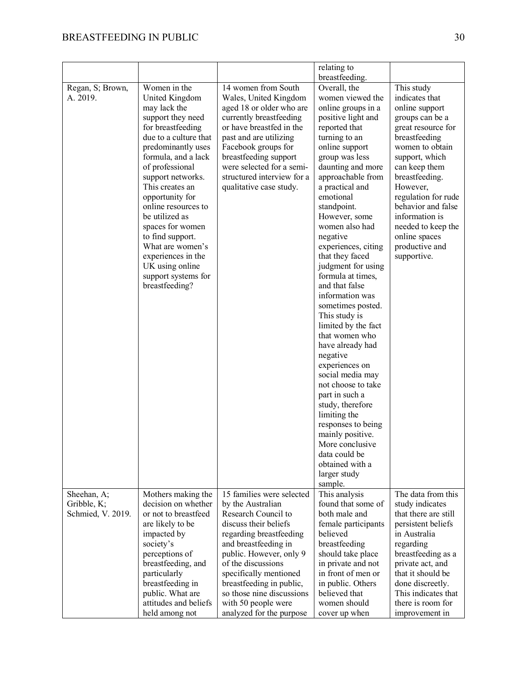|                                                 |                                                                                                                                                                                                                                                                                                                                                                                                                                     |                                                                                                                                                                                                                                                                                                                                          | relating to<br>breastfeeding.                                                                                                                                                                                                                                                                                                                                                                                                                                                                                                                                                                                                                                                                                                                                                     |                                                                                                                                                                                                                                                                                                                                     |
|-------------------------------------------------|-------------------------------------------------------------------------------------------------------------------------------------------------------------------------------------------------------------------------------------------------------------------------------------------------------------------------------------------------------------------------------------------------------------------------------------|------------------------------------------------------------------------------------------------------------------------------------------------------------------------------------------------------------------------------------------------------------------------------------------------------------------------------------------|-----------------------------------------------------------------------------------------------------------------------------------------------------------------------------------------------------------------------------------------------------------------------------------------------------------------------------------------------------------------------------------------------------------------------------------------------------------------------------------------------------------------------------------------------------------------------------------------------------------------------------------------------------------------------------------------------------------------------------------------------------------------------------------|-------------------------------------------------------------------------------------------------------------------------------------------------------------------------------------------------------------------------------------------------------------------------------------------------------------------------------------|
| Regan, S; Brown,<br>A. 2019.                    | Women in the<br>United Kingdom<br>may lack the<br>support they need<br>for breastfeeding<br>due to a culture that<br>predominantly uses<br>formula, and a lack<br>of professional<br>support networks.<br>This creates an<br>opportunity for<br>online resources to<br>be utilized as<br>spaces for women<br>to find support.<br>What are women's<br>experiences in the<br>UK using online<br>support systems for<br>breastfeeding? | 14 women from South<br>Wales, United Kingdom<br>aged 18 or older who are<br>currently breastfeeding<br>or have breastfed in the<br>past and are utilizing<br>Facebook groups for<br>breastfeeding support<br>were selected for a semi-<br>structured interview for a<br>qualitative case study.                                          | Overall, the<br>women viewed the<br>online groups in a<br>positive light and<br>reported that<br>turning to an<br>online support<br>group was less<br>daunting and more<br>approachable from<br>a practical and<br>emotional<br>standpoint.<br>However, some<br>women also had<br>negative<br>experiences, citing<br>that they faced<br>judgment for using<br>formula at times,<br>and that false<br>information was<br>sometimes posted.<br>This study is<br>limited by the fact<br>that women who<br>have already had<br>negative<br>experiences on<br>social media may<br>not choose to take<br>part in such a<br>study, therefore<br>limiting the<br>responses to being<br>mainly positive.<br>More conclusive<br>data could be<br>obtained with a<br>larger study<br>sample. | This study<br>indicates that<br>online support<br>groups can be a<br>great resource for<br>breastfeeding<br>women to obtain<br>support, which<br>can keep them<br>breastfeeding.<br>However,<br>regulation for rude<br>behavior and false<br>information is<br>needed to keep the<br>online spaces<br>productive and<br>supportive. |
| Sheehan, A;<br>Gribble, K;<br>Schmied, V. 2019. | Mothers making the<br>decision on whether<br>or not to breastfeed<br>are likely to be<br>impacted by<br>society's<br>perceptions of<br>breastfeeding, and<br>particularly<br>breastfeeding in<br>public. What are<br>attitudes and beliefs<br>held among not                                                                                                                                                                        | 15 families were selected<br>by the Australian<br>Research Council to<br>discuss their beliefs<br>regarding breastfeeding<br>and breastfeeding in<br>public. However, only 9<br>of the discussions<br>specifically mentioned<br>breastfeeding in public,<br>so those nine discussions<br>with 50 people were<br>analyzed for the purpose | This analysis<br>found that some of<br>both male and<br>female participants<br>helieved<br>breastfeeding<br>should take place<br>in private and not<br>in front of men or<br>in public. Others<br>believed that<br>women should<br>cover up when                                                                                                                                                                                                                                                                                                                                                                                                                                                                                                                                  | The data from this<br>study indicates<br>that there are still<br>persistent beliefs<br>in Australia<br>regarding<br>breastfeeding as a<br>private act, and<br>that it should be<br>done discreetly.<br>This indicates that<br>there is room for<br>improvement in                                                                   |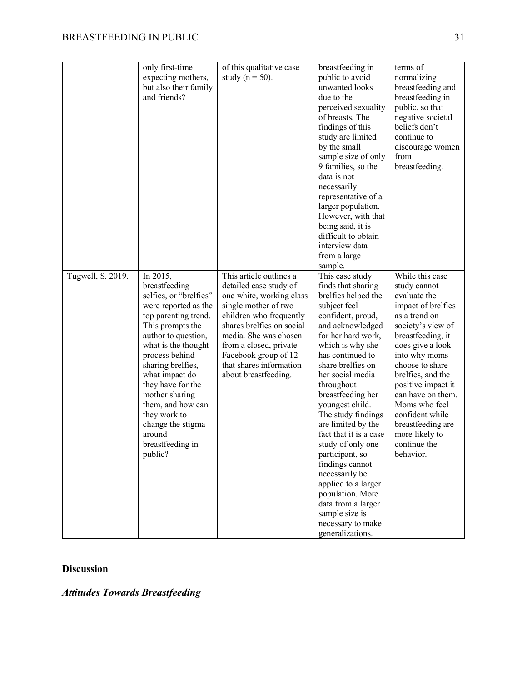|                   | only first-time<br>expecting mothers,<br>but also their family<br>and friends?                                                                                                                                                                                                                                                                                           | of this qualitative case<br>study ( $n = 50$ ).                                                                                                                                                                                                                                             | breastfeeding in<br>public to avoid<br>unwanted looks<br>due to the<br>perceived sexuality<br>of breasts. The<br>findings of this<br>study are limited<br>by the small<br>sample size of only<br>9 families, so the<br>data is not<br>necessarily<br>representative of a<br>larger population.<br>However, with that<br>being said, it is<br>difficult to obtain<br>interview data<br>from a large<br>sample.                                                                                                                                                     | terms of<br>normalizing<br>breastfeeding and<br>breastfeeding in<br>public, so that<br>negative societal<br>beliefs don't<br>continue to<br>discourage women<br>from<br>breastfeeding.                                                                                                                                                                           |
|-------------------|--------------------------------------------------------------------------------------------------------------------------------------------------------------------------------------------------------------------------------------------------------------------------------------------------------------------------------------------------------------------------|---------------------------------------------------------------------------------------------------------------------------------------------------------------------------------------------------------------------------------------------------------------------------------------------|-------------------------------------------------------------------------------------------------------------------------------------------------------------------------------------------------------------------------------------------------------------------------------------------------------------------------------------------------------------------------------------------------------------------------------------------------------------------------------------------------------------------------------------------------------------------|------------------------------------------------------------------------------------------------------------------------------------------------------------------------------------------------------------------------------------------------------------------------------------------------------------------------------------------------------------------|
| Tugwell, S. 2019. | In 2015,<br>breastfeeding<br>selfies, or "brelfies"<br>were reported as the<br>top parenting trend.<br>This prompts the<br>author to question,<br>what is the thought<br>process behind<br>sharing brelfies,<br>what impact do<br>they have for the<br>mother sharing<br>them, and how can<br>they work to<br>change the stigma<br>around<br>breastfeeding in<br>public? | This article outlines a<br>detailed case study of<br>one white, working class<br>single mother of two<br>children who frequently<br>shares brelfies on social<br>media. She was chosen<br>from a closed, private<br>Facebook group of 12<br>that shares information<br>about breastfeeding. | This case study<br>finds that sharing<br>brelfies helped the<br>subject feel<br>confident, proud,<br>and acknowledged<br>for her hard work,<br>which is why she<br>has continued to<br>share brelfies on<br>her social media<br>throughout<br>breastfeeding her<br>youngest child.<br>The study findings<br>are limited by the<br>fact that it is a case<br>study of only one<br>participant, so<br>findings cannot<br>necessarily be<br>applied to a larger<br>population. More<br>data from a larger<br>sample size is<br>necessary to make<br>generalizations. | While this case<br>study cannot<br>evaluate the<br>impact of brelfies<br>as a trend on<br>society's view of<br>breastfeeding, it<br>does give a look<br>into why moms<br>choose to share<br>brelfies, and the<br>positive impact it<br>can have on them.<br>Moms who feel<br>confident while<br>breastfeeding are<br>more likely to<br>continue the<br>behavior. |

# **Discussion**

*Attitudes Towards Breastfeeding*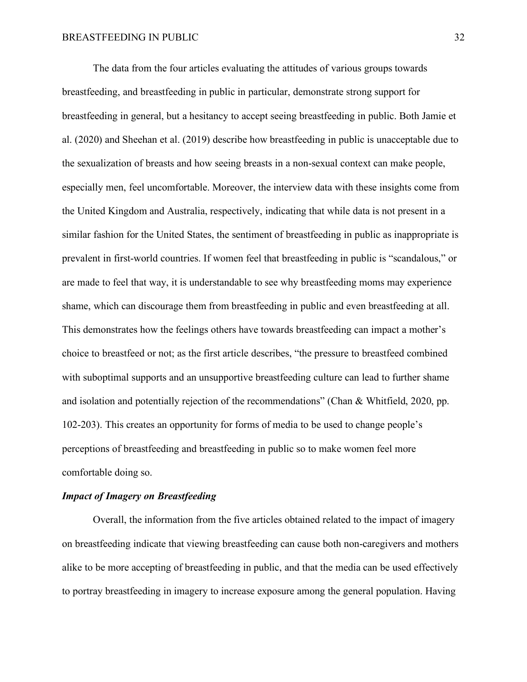The data from the four articles evaluating the attitudes of various groups towards breastfeeding, and breastfeeding in public in particular, demonstrate strong support for breastfeeding in general, but a hesitancy to accept seeing breastfeeding in public. Both Jamie et al. (2020) and Sheehan et al. (2019) describe how breastfeeding in public is unacceptable due to the sexualization of breasts and how seeing breasts in a non-sexual context can make people, especially men, feel uncomfortable. Moreover, the interview data with these insights come from the United Kingdom and Australia, respectively, indicating that while data is not present in a similar fashion for the United States, the sentiment of breastfeeding in public as inappropriate is prevalent in first-world countries. If women feel that breastfeeding in public is "scandalous," or are made to feel that way, it is understandable to see why breastfeeding moms may experience shame, which can discourage them from breastfeeding in public and even breastfeeding at all. This demonstrates how the feelings others have towards breastfeeding can impact a mother's choice to breastfeed or not; as the first article describes, "the pressure to breastfeed combined with suboptimal supports and an unsupportive breastfeeding culture can lead to further shame and isolation and potentially rejection of the recommendations" (Chan & Whitfield, 2020, pp. 102-203). This creates an opportunity for forms of media to be used to change people's perceptions of breastfeeding and breastfeeding in public so to make women feel more comfortable doing so.

# *Impact of Imagery on Breastfeeding*

Overall, the information from the five articles obtained related to the impact of imagery on breastfeeding indicate that viewing breastfeeding can cause both non-caregivers and mothers alike to be more accepting of breastfeeding in public, and that the media can be used effectively to portray breastfeeding in imagery to increase exposure among the general population. Having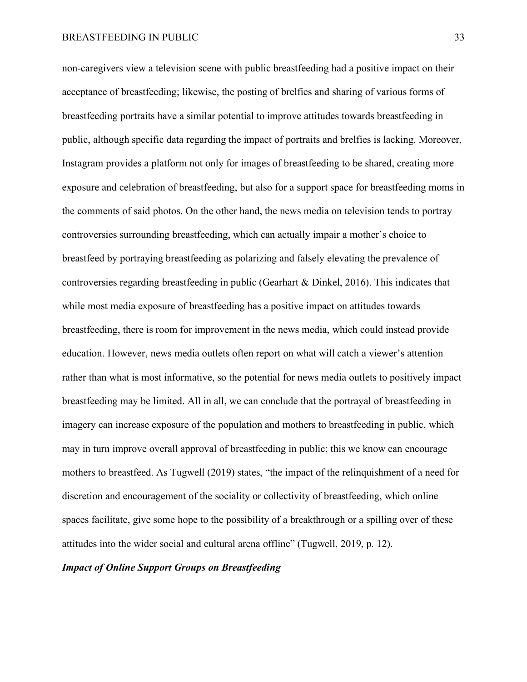non-caregivers view a television scene with public breastfeeding had a positive impact on their acceptance of breastfeeding; likewise, the posting of brelfies and sharing of various forms of breastfeeding portraits have a similar potential to improve attitudes towards breastfeeding in public, although specific data regarding the impact of portraits and brelfies is lacking. Moreover, Instagram provides a platform not only for images of breastfeeding to be shared, creating more exposure and celebration of breastfeeding, but also for a support space for breastfeeding moms in the comments of said photos. On the other hand, the news media on television tends to portray controversies surrounding breastfeeding, which can actually impair a mother's choice to breastfeed by portraying breastfeeding as polarizing and falsely elevating the prevalence of controversies regarding breastfeeding in public (Gearhart & Dinkel, 2016). This indicates that while most media exposure of breastfeeding has a positive impact on attitudes towards breastfeeding, there is room for improvement in the news media, which could instead provide education. However, news media outlets often report on what will catch a viewer's attention rather than what is most informative, so the potential for news media outlets to positively impact breastfeeding may be limited. All in all, we can conclude that the portrayal of breastfeeding in imagery can increase exposure of the population and mothers to breastfeeding in public, which may in turn improve overall approval of breastfeeding in public; this we know can encourage mothers to breastfeed. As Tugwell (2019) states, "the impact of the relinquishment of a need for discretion and encouragement of the sociality or collectivity of breastfeeding, which online spaces facilitate, give some hope to the possibility of a breakthrough or a spilling over of these attitudes into the wider social and cultural arena offline" (Tugwell, 2019, p. 12).

# *Impact of Online Support Groups on Breastfeeding*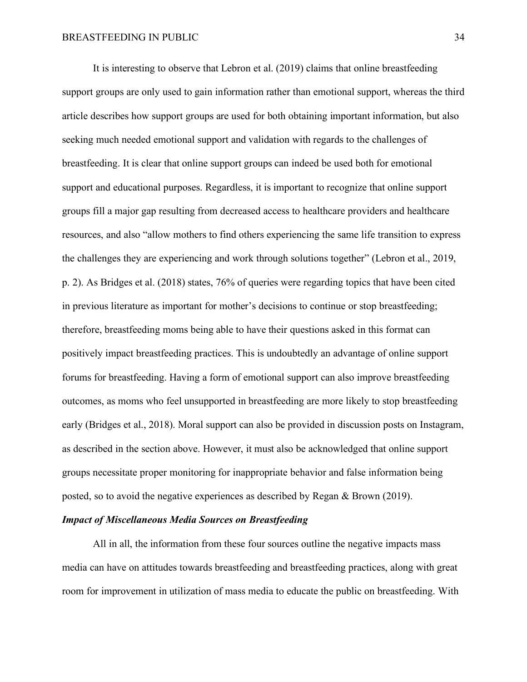It is interesting to observe that Lebron et al. (2019) claims that online breastfeeding support groups are only used to gain information rather than emotional support, whereas the third article describes how support groups are used for both obtaining important information, but also seeking much needed emotional support and validation with regards to the challenges of breastfeeding. It is clear that online support groups can indeed be used both for emotional support and educational purposes. Regardless, it is important to recognize that online support groups fill a major gap resulting from decreased access to healthcare providers and healthcare resources, and also "allow mothers to find others experiencing the same life transition to express the challenges they are experiencing and work through solutions together" (Lebron et al., 2019, p. 2). As Bridges et al. (2018) states, 76% of queries were regarding topics that have been cited in previous literature as important for mother's decisions to continue or stop breastfeeding; therefore, breastfeeding moms being able to have their questions asked in this format can positively impact breastfeeding practices. This is undoubtedly an advantage of online support forums for breastfeeding. Having a form of emotional support can also improve breastfeeding outcomes, as moms who feel unsupported in breastfeeding are more likely to stop breastfeeding early (Bridges et al., 2018). Moral support can also be provided in discussion posts on Instagram, as described in the section above. However, it must also be acknowledged that online support groups necessitate proper monitoring for inappropriate behavior and false information being posted, so to avoid the negative experiences as described by Regan & Brown (2019).

# *Impact of Miscellaneous Media Sources on Breastfeeding*

All in all, the information from these four sources outline the negative impacts mass media can have on attitudes towards breastfeeding and breastfeeding practices, along with great room for improvement in utilization of mass media to educate the public on breastfeeding. With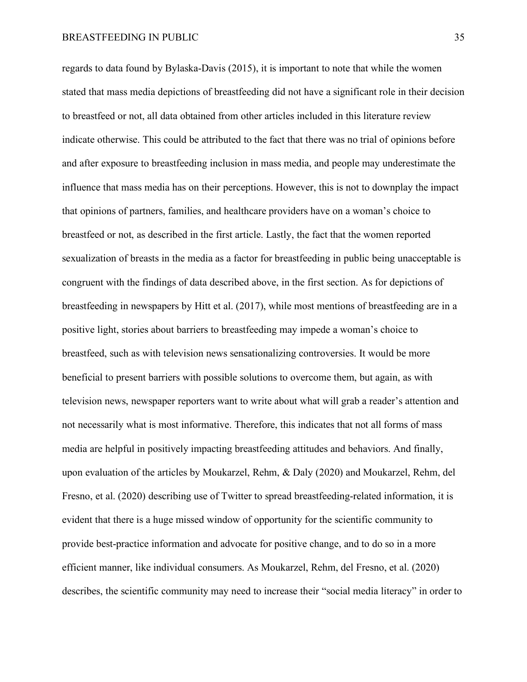regards to data found by Bylaska-Davis (2015), it is important to note that while the women stated that mass media depictions of breastfeeding did not have a significant role in their decision to breastfeed or not, all data obtained from other articles included in this literature review indicate otherwise. This could be attributed to the fact that there was no trial of opinions before and after exposure to breastfeeding inclusion in mass media, and people may underestimate the influence that mass media has on their perceptions. However, this is not to downplay the impact that opinions of partners, families, and healthcare providers have on a woman's choice to breastfeed or not, as described in the first article. Lastly, the fact that the women reported sexualization of breasts in the media as a factor for breastfeeding in public being unacceptable is congruent with the findings of data described above, in the first section. As for depictions of breastfeeding in newspapers by Hitt et al. (2017), while most mentions of breastfeeding are in a positive light, stories about barriers to breastfeeding may impede a woman's choice to breastfeed, such as with television news sensationalizing controversies. It would be more beneficial to present barriers with possible solutions to overcome them, but again, as with television news, newspaper reporters want to write about what will grab a reader's attention and not necessarily what is most informative. Therefore, this indicates that not all forms of mass media are helpful in positively impacting breastfeeding attitudes and behaviors. And finally, upon evaluation of the articles by Moukarzel, Rehm, & Daly (2020) and Moukarzel, Rehm, del Fresno, et al. (2020) describing use of Twitter to spread breastfeeding-related information, it is evident that there is a huge missed window of opportunity for the scientific community to provide best-practice information and advocate for positive change, and to do so in a more efficient manner, like individual consumers. As Moukarzel, Rehm, del Fresno, et al. (2020) describes, the scientific community may need to increase their "social media literacy" in order to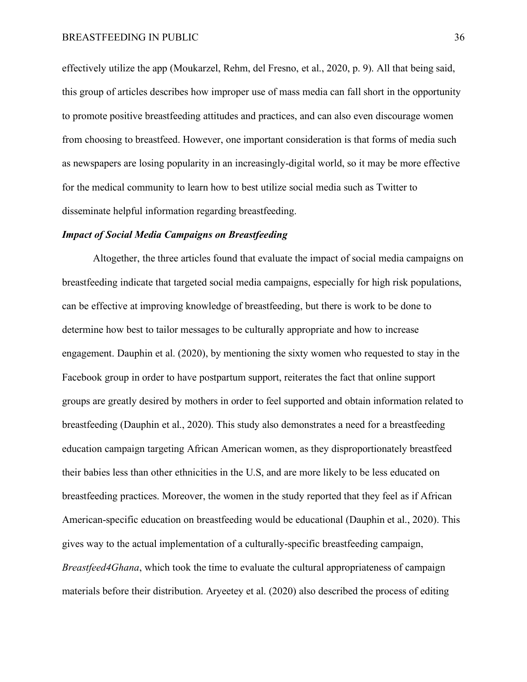effectively utilize the app (Moukarzel, Rehm, del Fresno, et al., 2020, p. 9). All that being said, this group of articles describes how improper use of mass media can fall short in the opportunity to promote positive breastfeeding attitudes and practices, and can also even discourage women from choosing to breastfeed. However, one important consideration is that forms of media such as newspapers are losing popularity in an increasingly-digital world, so it may be more effective for the medical community to learn how to best utilize social media such as Twitter to disseminate helpful information regarding breastfeeding.

#### *Impact of Social Media Campaigns on Breastfeeding*

Altogether, the three articles found that evaluate the impact of social media campaigns on breastfeeding indicate that targeted social media campaigns, especially for high risk populations, can be effective at improving knowledge of breastfeeding, but there is work to be done to determine how best to tailor messages to be culturally appropriate and how to increase engagement. Dauphin et al. (2020), by mentioning the sixty women who requested to stay in the Facebook group in order to have postpartum support, reiterates the fact that online support groups are greatly desired by mothers in order to feel supported and obtain information related to breastfeeding (Dauphin et al., 2020). This study also demonstrates a need for a breastfeeding education campaign targeting African American women, as they disproportionately breastfeed their babies less than other ethnicities in the U.S, and are more likely to be less educated on breastfeeding practices. Moreover, the women in the study reported that they feel as if African American-specific education on breastfeeding would be educational (Dauphin et al., 2020). This gives way to the actual implementation of a culturally-specific breastfeeding campaign, *Breastfeed4Ghana*, which took the time to evaluate the cultural appropriateness of campaign materials before their distribution. Aryeetey et al. (2020) also described the process of editing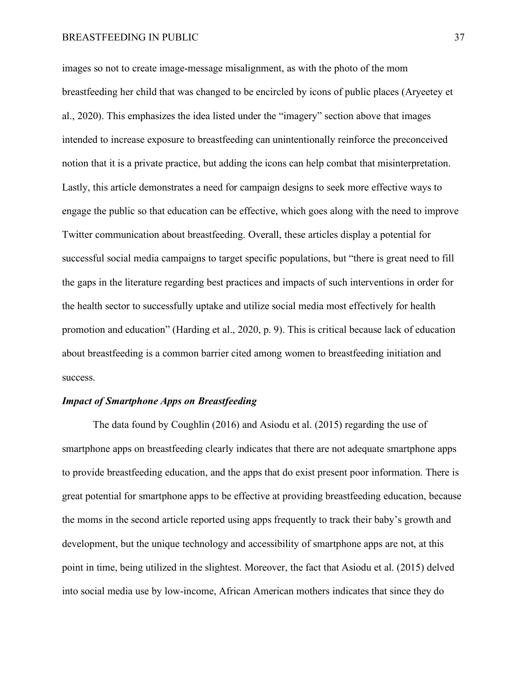images so not to create image-message misalignment, as with the photo of the mom breastfeeding her child that was changed to be encircled by icons of public places (Aryeetey et al., 2020). This emphasizes the idea listed under the "imagery" section above that images intended to increase exposure to breastfeeding can unintentionally reinforce the preconceived notion that it is a private practice, but adding the icons can help combat that misinterpretation. Lastly, this article demonstrates a need for campaign designs to seek more effective ways to engage the public so that education can be effective, which goes along with the need to improve Twitter communication about breastfeeding. Overall, these articles display a potential for successful social media campaigns to target specific populations, but "there is great need to fill the gaps in the literature regarding best practices and impacts of such interventions in order for the health sector to successfully uptake and utilize social media most effectively for health promotion and education" (Harding et al., 2020, p. 9). This is critical because lack of education about breastfeeding is a common barrier cited among women to breastfeeding initiation and success.

# *Impact of Smartphone Apps on Breastfeeding*

The data found by Coughlin (2016) and Asiodu et al. (2015) regarding the use of smartphone apps on breastfeeding clearly indicates that there are not adequate smartphone apps to provide breastfeeding education, and the apps that do exist present poor information. There is great potential for smartphone apps to be effective at providing breastfeeding education, because the moms in the second article reported using apps frequently to track their baby's growth and development, but the unique technology and accessibility of smartphone apps are not, at this point in time, being utilized in the slightest. Moreover, the fact that Asiodu et al. (2015) delved into social media use by low-income, African American mothers indicates that since they do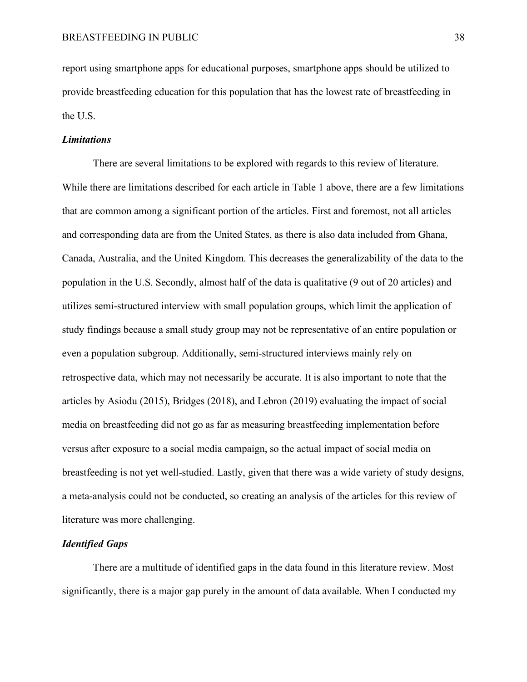report using smartphone apps for educational purposes, smartphone apps should be utilized to provide breastfeeding education for this population that has the lowest rate of breastfeeding in the U.S.

# *Limitations*

There are several limitations to be explored with regards to this review of literature. While there are limitations described for each article in Table 1 above, there are a few limitations that are common among a significant portion of the articles. First and foremost, not all articles and corresponding data are from the United States, as there is also data included from Ghana, Canada, Australia, and the United Kingdom. This decreases the generalizability of the data to the population in the U.S. Secondly, almost half of the data is qualitative (9 out of 20 articles) and utilizes semi-structured interview with small population groups, which limit the application of study findings because a small study group may not be representative of an entire population or even a population subgroup. Additionally, semi-structured interviews mainly rely on retrospective data, which may not necessarily be accurate. It is also important to note that the articles by Asiodu (2015), Bridges (2018), and Lebron (2019) evaluating the impact of social media on breastfeeding did not go as far as measuring breastfeeding implementation before versus after exposure to a social media campaign, so the actual impact of social media on breastfeeding is not yet well-studied. Lastly, given that there was a wide variety of study designs, a meta-analysis could not be conducted, so creating an analysis of the articles for this review of literature was more challenging.

# *Identified Gaps*

There are a multitude of identified gaps in the data found in this literature review. Most significantly, there is a major gap purely in the amount of data available. When I conducted my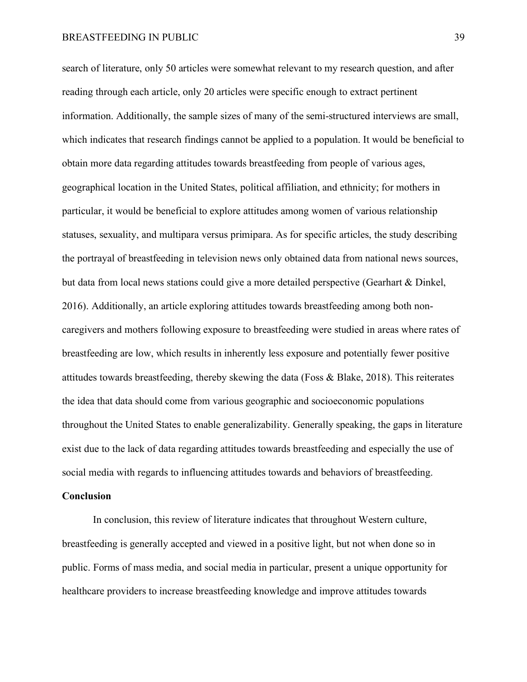search of literature, only 50 articles were somewhat relevant to my research question, and after reading through each article, only 20 articles were specific enough to extract pertinent information. Additionally, the sample sizes of many of the semi-structured interviews are small, which indicates that research findings cannot be applied to a population. It would be beneficial to obtain more data regarding attitudes towards breastfeeding from people of various ages, geographical location in the United States, political affiliation, and ethnicity; for mothers in particular, it would be beneficial to explore attitudes among women of various relationship statuses, sexuality, and multipara versus primipara. As for specific articles, the study describing the portrayal of breastfeeding in television news only obtained data from national news sources, but data from local news stations could give a more detailed perspective (Gearhart & Dinkel, 2016). Additionally, an article exploring attitudes towards breastfeeding among both noncaregivers and mothers following exposure to breastfeeding were studied in areas where rates of breastfeeding are low, which results in inherently less exposure and potentially fewer positive attitudes towards breastfeeding, thereby skewing the data (Foss & Blake, 2018). This reiterates the idea that data should come from various geographic and socioeconomic populations throughout the United States to enable generalizability. Generally speaking, the gaps in literature exist due to the lack of data regarding attitudes towards breastfeeding and especially the use of social media with regards to influencing attitudes towards and behaviors of breastfeeding.

# **Conclusion**

In conclusion, this review of literature indicates that throughout Western culture, breastfeeding is generally accepted and viewed in a positive light, but not when done so in public. Forms of mass media, and social media in particular, present a unique opportunity for healthcare providers to increase breastfeeding knowledge and improve attitudes towards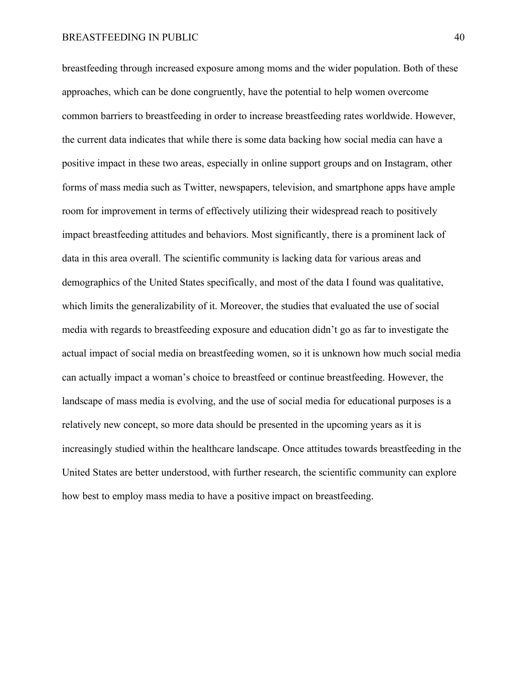breastfeeding through increased exposure among moms and the wider population. Both of these approaches, which can be done congruently, have the potential to help women overcome common barriers to breastfeeding in order to increase breastfeeding rates worldwide. However, the current data indicates that while there is some data backing how social media can have a positive impact in these two areas, especially in online support groups and on Instagram, other forms of mass media such as Twitter, newspapers, television, and smartphone apps have ample room for improvement in terms of effectively utilizing their widespread reach to positively impact breastfeeding attitudes and behaviors. Most significantly, there is a prominent lack of data in this area overall. The scientific community is lacking data for various areas and demographics of the United States specifically, and most of the data I found was qualitative, which limits the generalizability of it. Moreover, the studies that evaluated the use of social media with regards to breastfeeding exposure and education didn't go as far to investigate the actual impact of social media on breastfeeding women, so it is unknown how much social media can actually impact a woman's choice to breastfeed or continue breastfeeding. However, the landscape of mass media is evolving, and the use of social media for educational purposes is a relatively new concept, so more data should be presented in the upcoming years as it is increasingly studied within the healthcare landscape. Once attitudes towards breastfeeding in the United States are better understood, with further research, the scientific community can explore how best to employ mass media to have a positive impact on breastfeeding.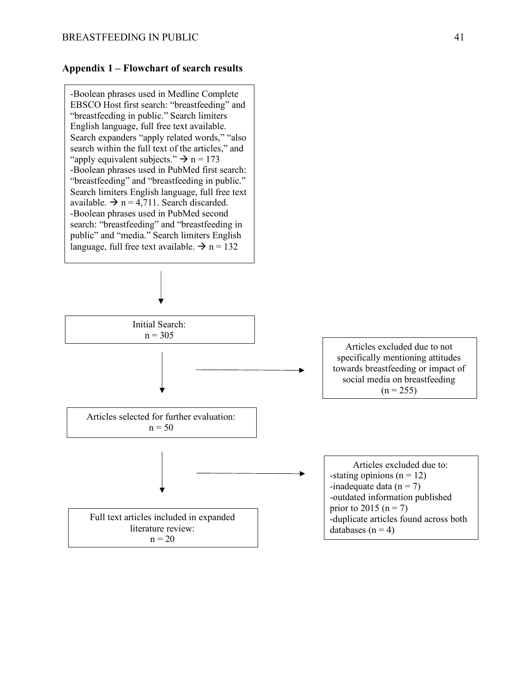# **Appendix 1 – Flowchart of search results**

-Boolean phrases used in Medline Complete EBSCO Host first search: "breastfeeding" and "breastfeeding in public." Search limiters English language, full free text available. Search expanders "apply related words," "also search within the full text of the articles," and "apply equivalent subjects."  $\rightarrow$  n = 173 -Boolean phrases used in PubMed first search: "breastfeeding" and "breastfeeding in public." Search limiters English language, full free text available.  $\rightarrow$  n = 4,711. Search discarded. -Boolean phrases used in PubMed second search: "breastfeeding" and "breastfeeding in public" and "media." Search limiters English language, full free text available.  $\rightarrow$  n = 132

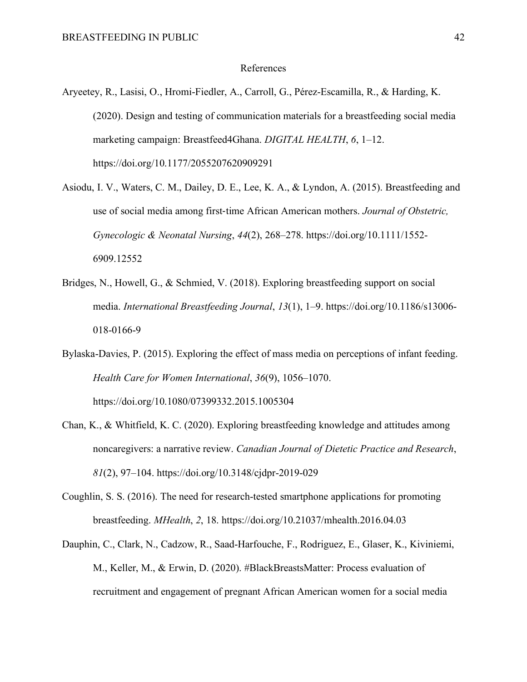#### References

- Aryeetey, R., Lasisi, O., Hromi-Fiedler, A., Carroll, G., Pérez-Escamilla, R., & Harding, K. (2020). Design and testing of communication materials for a breastfeeding social media marketing campaign: Breastfeed4Ghana. *DIGITAL HEALTH*, *6*, 1–12. https://doi.org/10.1177/2055207620909291
- Asiodu, I. V., Waters, C. M., Dailey, D. E., Lee, K. A., & Lyndon, A. (2015). Breastfeeding and use of social media among first-time African American mothers. *Journal of Obstetric, Gynecologic & Neonatal Nursing*, *44*(2), 268–278. https://doi.org/10.1111/1552- 6909.12552
- Bridges, N., Howell, G., & Schmied, V. (2018). Exploring breastfeeding support on social media. *International Breastfeeding Journal*, *13*(1), 1–9. https://doi.org/10.1186/s13006- 018-0166-9
- Bylaska-Davies, P. (2015). Exploring the effect of mass media on perceptions of infant feeding. *Health Care for Women International*, *36*(9), 1056–1070. https://doi.org/10.1080/07399332.2015.1005304
- Chan, K., & Whitfield, K. C. (2020). Exploring breastfeeding knowledge and attitudes among noncaregivers: a narrative review. *Canadian Journal of Dietetic Practice and Research*, *81*(2), 97–104. https://doi.org/10.3148/cjdpr-2019-029
- Coughlin, S. S. (2016). The need for research-tested smartphone applications for promoting breastfeeding. *MHealth*, *2*, 18. https://doi.org/10.21037/mhealth.2016.04.03
- Dauphin, C., Clark, N., Cadzow, R., Saad-Harfouche, F., Rodriguez, E., Glaser, K., Kiviniemi, M., Keller, M., & Erwin, D. (2020). #BlackBreastsMatter: Process evaluation of recruitment and engagement of pregnant African American women for a social media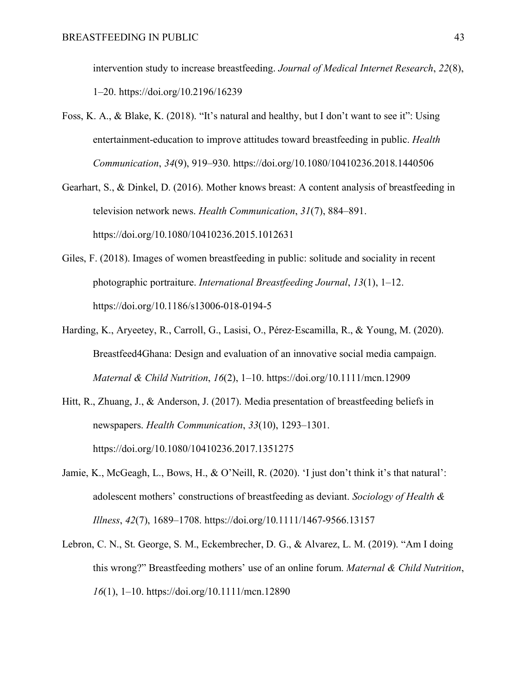intervention study to increase breastfeeding. *Journal of Medical Internet Research*, *22*(8), 1–20. https://doi.org/10.2196/16239

- Foss, K. A., & Blake, K. (2018). "It's natural and healthy, but I don't want to see it": Using entertainment-education to improve attitudes toward breastfeeding in public. *Health Communication*, *34*(9), 919–930. https://doi.org/10.1080/10410236.2018.1440506
- Gearhart, S., & Dinkel, D. (2016). Mother knows breast: A content analysis of breastfeeding in television network news. *Health Communication*, *31*(7), 884–891. https://doi.org/10.1080/10410236.2015.1012631
- Giles, F. (2018). Images of women breastfeeding in public: solitude and sociality in recent photographic portraiture. *International Breastfeeding Journal*, *13*(1), 1–12. https://doi.org/10.1186/s13006-018-0194-5
- Harding, K., Aryeetey, R., Carroll, G., Lasisi, O., Pérez-Escamilla, R., & Young, M. (2020). Breastfeed4Ghana: Design and evaluation of an innovative social media campaign. *Maternal & Child Nutrition*, *16*(2), 1–10. https://doi.org/10.1111/mcn.12909
- Hitt, R., Zhuang, J., & Anderson, J. (2017). Media presentation of breastfeeding beliefs in newspapers. *Health Communication*, *33*(10), 1293–1301. https://doi.org/10.1080/10410236.2017.1351275
- Jamie, K., McGeagh, L., Bows, H., & O'Neill, R. (2020). 'I just don't think it's that natural': adolescent mothers' constructions of breastfeeding as deviant. *Sociology of Health & Illness*, *42*(7), 1689–1708. https://doi.org/10.1111/1467-9566.13157
- Lebron, C. N., St. George, S. M., Eckembrecher, D. G., & Alvarez, L. M. (2019). "Am I doing this wrong?" Breastfeeding mothers' use of an online forum. *Maternal & Child Nutrition*, *16*(1), 1–10. https://doi.org/10.1111/mcn.12890